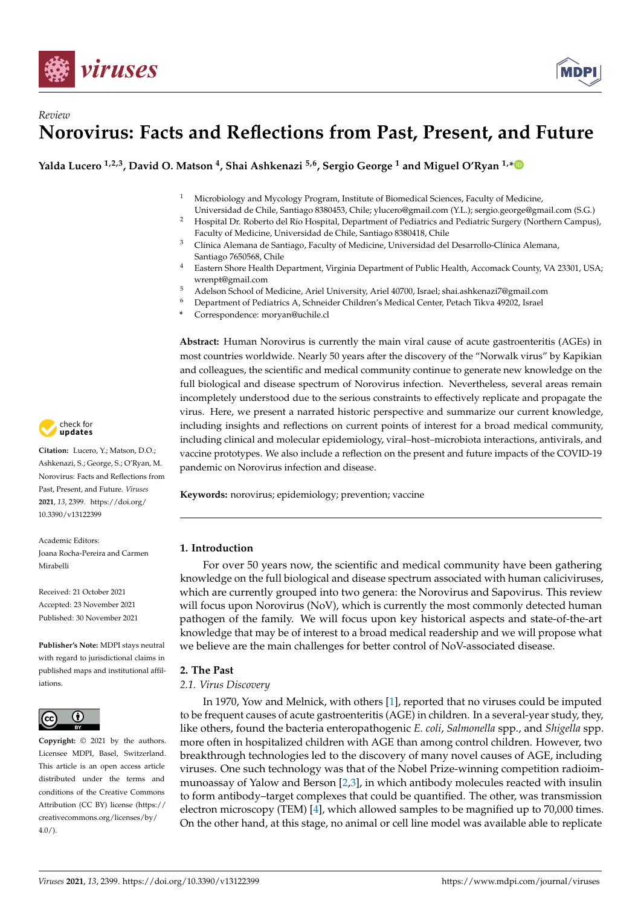



**Yalda Lucero 1,2,3, David O. Matson <sup>4</sup> , Shai Ashkenazi 5,6, Sergio George <sup>1</sup> and Miguel O'Ryan 1,[\\*](https://orcid.org/0000-0002-7926-2163)**

- <sup>1</sup> Microbiology and Mycology Program, Institute of Biomedical Sciences, Faculty of Medicine,
- Universidad de Chile, Santiago 8380453, Chile; ylucero@gmail.com (Y.L.); sergio.george@gmail.com (S.G.) <sup>2</sup> Hospital Dr. Roberto del Río Hospital, Department of Pediatrics and Pediatric Surgery (Northern Campus), Faculty of Medicine, Universidad de Chile, Santiago 8380418, Chile
- <sup>3</sup> Clínica Alemana de Santiago, Faculty of Medicine, Universidad del Desarrollo-Clínica Alemana, Santiago 7650568, Chile
- <sup>4</sup> Eastern Shore Health Department, Virginia Department of Public Health, Accomack County, VA 23301, USA; wrenpt@gmail.com
- <sup>5</sup> Adelson School of Medicine, Ariel University, Ariel 40700, Israel; shai.ashkenazi7@gmail.com
- <sup>6</sup> Department of Pediatrics A, Schneider Children's Medical Center, Petach Tikva 49202, Israel
- **\*** Correspondence: moryan@uchile.cl

**Abstract:** Human Norovirus is currently the main viral cause of acute gastroenteritis (AGEs) in most countries worldwide. Nearly 50 years after the discovery of the "Norwalk virus" by Kapikian and colleagues, the scientific and medical community continue to generate new knowledge on the full biological and disease spectrum of Norovirus infection. Nevertheless, several areas remain incompletely understood due to the serious constraints to effectively replicate and propagate the virus. Here, we present a narrated historic perspective and summarize our current knowledge, including insights and reflections on current points of interest for a broad medical community, including clinical and molecular epidemiology, viral–host–microbiota interactions, antivirals, and vaccine prototypes. We also include a reflection on the present and future impacts of the COVID-19 pandemic on Norovirus infection and disease.

**Keywords:** norovirus; epidemiology; prevention; vaccine

# **1. Introduction**

For over 50 years now, the scientific and medical community have been gathering knowledge on the full biological and disease spectrum associated with human caliciviruses, which are currently grouped into two genera: the Norovirus and Sapovirus. This review will focus upon Norovirus (NoV), which is currently the most commonly detected human pathogen of the family. We will focus upon key historical aspects and state-of-the-art knowledge that may be of interest to a broad medical readership and we will propose what we believe are the main challenges for better control of NoV-associated disease.

# **2. The Past**

# *2.1. Virus Discovery*

In 1970, Yow and Melnick, with others [\[1\]](#page-11-0), reported that no viruses could be imputed to be frequent causes of acute gastroenteritis (AGE) in children. In a several-year study, they, like others, found the bacteria enteropathogenic *E. coli*, *Salmonella* spp., and *Shigella* spp. more often in hospitalized children with AGE than among control children. However, two breakthrough technologies led to the discovery of many novel causes of AGE, including viruses. One such technology was that of the Nobel Prize-winning competition radioimmunoassay of Yalow and Berson [\[2,](#page-11-1)[3\]](#page-11-2), in which antibody molecules reacted with insulin to form antibody–target complexes that could be quantified. The other, was transmission electron microscopy (TEM) [\[4\]](#page-11-3), which allowed samples to be magnified up to 70,000 times. On the other hand, at this stage, no animal or cell line model was available able to replicate



**Citation:** Lucero, Y.; Matson, D.O.; Ashkenazi, S.; George, S.; O'Ryan, M. Norovirus: Facts and Reflections from Past, Present, and Future. *Viruses* **2021**, *13*, 2399. [https://doi.org/](https://doi.org/10.3390/v13122399) [10.3390/v13122399](https://doi.org/10.3390/v13122399)

Academic Editors: Joana Rocha-Pereira and Carmen Mirabelli

Received: 21 October 2021 Accepted: 23 November 2021 Published: 30 November 2021

**Publisher's Note:** MDPI stays neutral with regard to jurisdictional claims in published maps and institutional affiliations.



**Copyright:** © 2021 by the authors. Licensee MDPI, Basel, Switzerland. This article is an open access article distributed under the terms and conditions of the Creative Commons Attribution (CC BY) license (https:/[/](https://creativecommons.org/licenses/by/4.0/) [creativecommons.org/licenses/by/](https://creativecommons.org/licenses/by/4.0/)  $4.0/$ ).

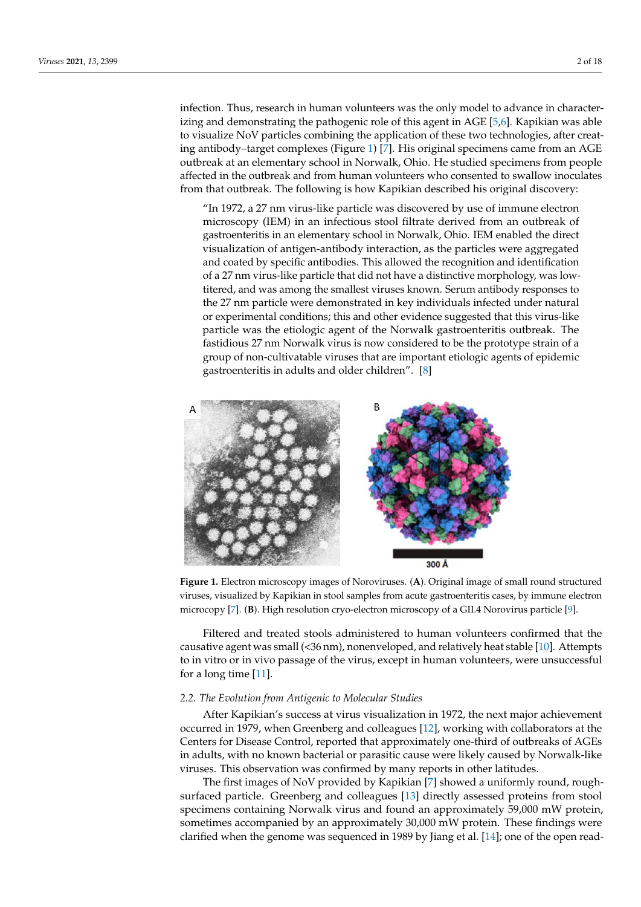infection. Thus, research in human volunteers was the only model to advance in characterizing and demonstrating the pathogenic role of this agent in AGE  $[5,6]$  $[5,6]$ . Kapikian was able to visualize NoV particles combining the application of these two technologies, after creat-<br> $\sqrt{2}$ ing antibody–target complexes (Figure [1\)](#page-1-0) [\[7\]](#page-11-6). His original specimens came from an AGE Ing analogy anget complexes (Figure 1) [7]. This original specifients came from an AGE outbreak at an elementary school in Norwalk, Ohio. He studied specimens from people affected in the outbreak and from human volunteers who consented to swallow inoculates from that outbreak. The following is how Kapikian described his original discovery:

"In 1972, a 27 nm virus-like particle was discovered by use of immune electron microscopy (IEM) in an infectious stool filtrate derived from an outbreak of gastroenteritis in an elementary school in Norwalk, Ohio. IEM enabled the direct visualization of antigen-antibody interaction, as the particles were aggregated and coated by specific antibodies. This allowed the recognition and identification of a 27 nm virus-like particle that did not have a distinctive morphology, was lowtitered, and was among the smallest viruses known. Serum antibody responses to the 27 nm particle were demonstrated in key individuals infected under natural the 27 nm particle were demonstrated in key individuals infected under natural the 2. This particle were demonstrated in the particle material metric and the Norwalk gastroenterities are not particle was the etiologic agent of the Norwalk gastroenteritis outbreak. The fastidious 27 nm Norwalk virus is now considered to be the prototype strain of a group of non-cultivatable viruses that are important etiologic agents of epidemic gastroenteritis in adults and older children". [\[8\]](#page-11-7)

<span id="page-1-0"></span>

viruses, visualized by Kapikian in stool samples from acute gastroenteritis cases, by immune electron microcopy [7]. (B). High resolution cryo-electron microscopy of a GII.4 Norovirus particle [9]. **Figure 1.** Electron microscopy images of Noroviruses. (**A**). Original image of small round structured

causative agent was small (<36 nm), nonenveloped, and relatively heat stable [\[10\]](#page-11-9). Attempts to in vitro or in vivo passage of the virus, except in human volunteers, were unsuccessful<br>for a large time [11]. tor  $\alpha$  volg time  $\lfloor x \rfloor$ . Filtered and treated stools administered to human volunteers confirmed that the for a long time [\[11\]](#page-11-10).

# 2.2. The Evolution from Antigenic to Molecular Studies

*2.2. The Evolution from Antigenic to Molecular Stud[ies](#page-11-11)*  occurred in 1979, when Greenberg and colleagues [12], working with collaborators at the Centers for Disease Control, reported that approximately one-third of outbreaks of AGEs in adults, with no known bacterial or parasitic cause were likely caused by Norwalk-like<br>in adults, with no known bacterial or parasitic cause were likely caused by Norwalk-like After Kapikian's success at virus visualization in 1972, the next major achievement viruses. This observation was confirmed by many reports in other latitudes.

The first images of NoV provided by Kapikian [\[7\]](#page-11-6) showed a uniformly round, rough-<br>The first images of NoV provided by Kapikian [7] showed a uniformly round, rough-surfaced particle. Greenberg and colleagues [\[13\]](#page-11-12) directly assessed proteins from stool specimens containing Norwalk virus and found an approximately 59,000 mW protein, sometimes accompanied by an approximately 30,000 mW protein. These findings were clarified when the genome was sequenced in 1989 by Jiang et al. [14]; one of the open read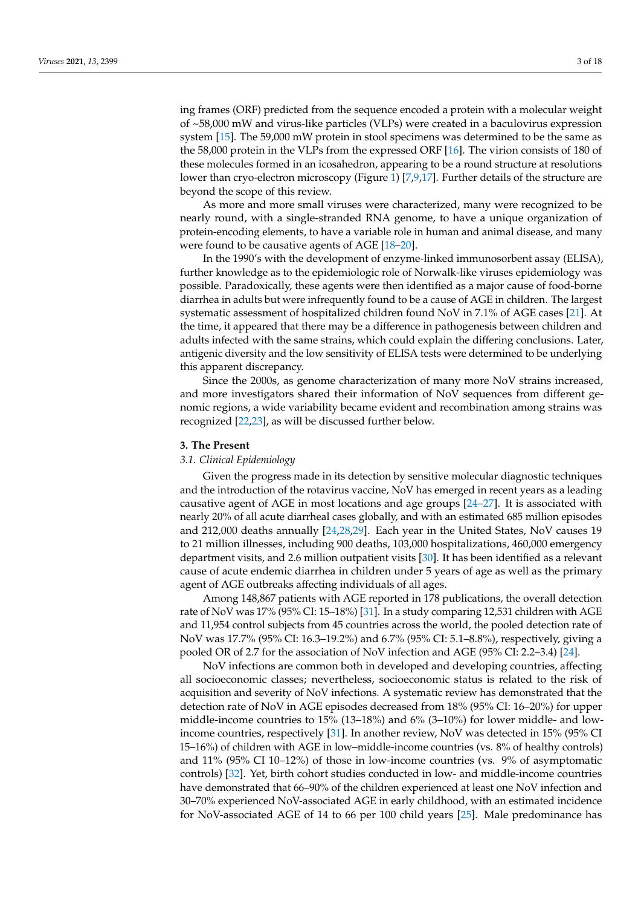ing frames (ORF) predicted from the sequence encoded a protein with a molecular weight of ~58,000 mW and virus-like particles (VLPs) were created in a baculovirus expression system [\[15\]](#page-11-14). The 59,000 mW protein in stool specimens was determined to be the same as the 58,000 protein in the VLPs from the expressed ORF [\[16\]](#page-11-15). The virion consists of 180 of these molecules formed in an icosahedron, appearing to be a round structure at resolutions lower than cryo-electron microscopy (Figure [1\)](#page-1-0) [\[7](#page-11-6)[,9](#page-11-8)[,17\]](#page-11-16). Further details of the structure are beyond the scope of this review.

As more and more small viruses were characterized, many were recognized to be nearly round, with a single-stranded RNA genome, to have a unique organization of protein-encoding elements, to have a variable role in human and animal disease, and many were found to be causative agents of AGE [\[18](#page-11-17)[–20\]](#page-11-18).

In the 1990's with the development of enzyme-linked immunosorbent assay (ELISA), further knowledge as to the epidemiologic role of Norwalk-like viruses epidemiology was possible. Paradoxically, these agents were then identified as a major cause of food-borne diarrhea in adults but were infrequently found to be a cause of AGE in children. The largest systematic assessment of hospitalized children found NoV in 7.1% of AGE cases [\[21\]](#page-11-19). At the time, it appeared that there may be a difference in pathogenesis between children and adults infected with the same strains, which could explain the differing conclusions. Later, antigenic diversity and the low sensitivity of ELISA tests were determined to be underlying this apparent discrepancy.

Since the 2000s, as genome characterization of many more NoV strains increased, and more investigators shared their information of NoV sequences from different genomic regions, a wide variability became evident and recombination among strains was recognized [\[22](#page-11-20)[,23\]](#page-12-0), as will be discussed further below.

## **3. The Present**

### *3.1. Clinical Epidemiology*

Given the progress made in its detection by sensitive molecular diagnostic techniques and the introduction of the rotavirus vaccine, NoV has emerged in recent years as a leading causative agent of AGE in most locations and age groups [\[24–](#page-12-1)[27\]](#page-12-2). It is associated with nearly 20% of all acute diarrheal cases globally, and with an estimated 685 million episodes and 212,000 deaths annually [\[24](#page-12-1)[,28](#page-12-3)[,29\]](#page-12-4). Each year in the United States, NoV causes 19 to 21 million illnesses, including 900 deaths, 103,000 hospitalizations, 460,000 emergency department visits, and 2.6 million outpatient visits [\[30\]](#page-12-5). It has been identified as a relevant cause of acute endemic diarrhea in children under 5 years of age as well as the primary agent of AGE outbreaks affecting individuals of all ages.

Among 148,867 patients with AGE reported in 178 publications, the overall detection rate of NoV was 17% (95% CI: 15–18%) [\[31\]](#page-12-6). In a study comparing 12,531 children with AGE and 11,954 control subjects from 45 countries across the world, the pooled detection rate of NoV was 17.7% (95% CI: 16.3–19.2%) and 6.7% (95% CI: 5.1–8.8%), respectively, giving a pooled OR of 2.7 for the association of NoV infection and AGE (95% CI: 2.2–3.4) [\[24\]](#page-12-1).

NoV infections are common both in developed and developing countries, affecting all socioeconomic classes; nevertheless, socioeconomic status is related to the risk of acquisition and severity of NoV infections. A systematic review has demonstrated that the detection rate of NoV in AGE episodes decreased from 18% (95% CI: 16–20%) for upper middle-income countries to 15% (13–18%) and 6% (3–10%) for lower middle- and lowincome countries, respectively [\[31\]](#page-12-6). In another review, NoV was detected in 15% (95% CI 15–16%) of children with AGE in low–middle-income countries (vs. 8% of healthy controls) and 11% (95% CI 10–12%) of those in low-income countries (vs. 9% of asymptomatic controls) [\[32\]](#page-12-7). Yet, birth cohort studies conducted in low- and middle-income countries have demonstrated that 66–90% of the children experienced at least one NoV infection and 30–70% experienced NoV-associated AGE in early childhood, with an estimated incidence for NoV-associated AGE of 14 to 66 per 100 child years [\[25\]](#page-12-8). Male predominance has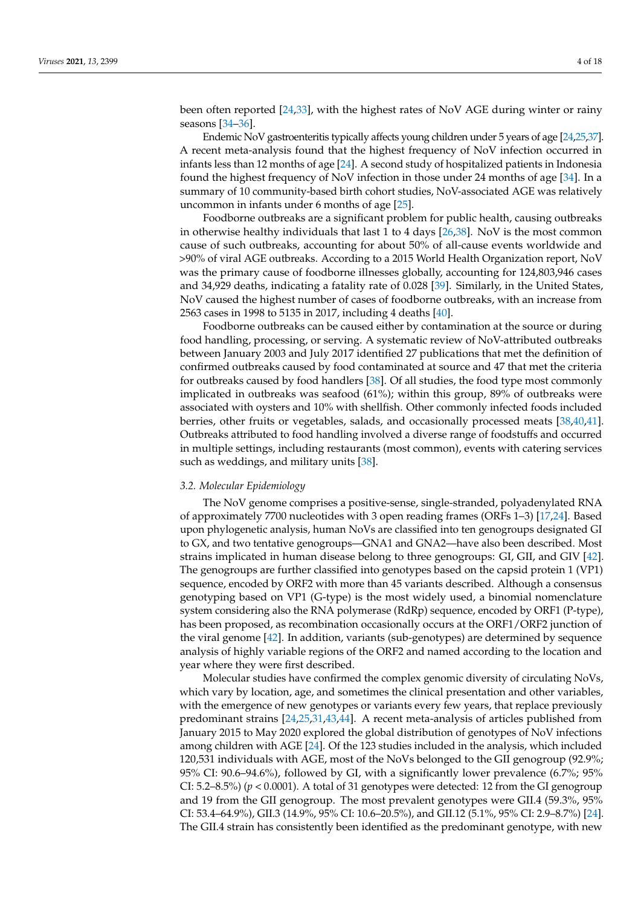been often reported [\[24](#page-12-1)[,33\]](#page-12-9), with the highest rates of NoV AGE during winter or rainy seasons [\[34–](#page-12-10)[36\]](#page-12-11).

Endemic NoV gastroenteritis typically affects young children under 5 years of age [\[24,](#page-12-1)[25](#page-12-8)[,37\]](#page-12-12). A recent meta-analysis found that the highest frequency of NoV infection occurred in infants less than 12 months of age [\[24\]](#page-12-1). A second study of hospitalized patients in Indonesia found the highest frequency of NoV infection in those under 24 months of age [\[34\]](#page-12-10). In a summary of 10 community-based birth cohort studies, NoV-associated AGE was relatively uncommon in infants under 6 months of age [\[25\]](#page-12-8).

Foodborne outbreaks are a significant problem for public health, causing outbreaks in otherwise healthy individuals that last 1 to 4 days [\[26](#page-12-13)[,38\]](#page-12-14). NoV is the most common cause of such outbreaks, accounting for about 50% of all-cause events worldwide and >90% of viral AGE outbreaks. According to a 2015 World Health Organization report, NoV was the primary cause of foodborne illnesses globally, accounting for 124,803,946 cases and 34,929 deaths, indicating a fatality rate of 0.028 [\[39\]](#page-12-15). Similarly, in the United States, NoV caused the highest number of cases of foodborne outbreaks, with an increase from 2563 cases in 1998 to 5135 in 2017, including 4 deaths [\[40\]](#page-12-16).

Foodborne outbreaks can be caused either by contamination at the source or during food handling, processing, or serving. A systematic review of NoV-attributed outbreaks between January 2003 and July 2017 identified 27 publications that met the definition of confirmed outbreaks caused by food contaminated at source and 47 that met the criteria for outbreaks caused by food handlers [\[38\]](#page-12-14). Of all studies, the food type most commonly implicated in outbreaks was seafood (61%); within this group, 89% of outbreaks were associated with oysters and 10% with shellfish. Other commonly infected foods included berries, other fruits or vegetables, salads, and occasionally processed meats [\[38,](#page-12-14)[40,](#page-12-16)[41\]](#page-12-17). Outbreaks attributed to food handling involved a diverse range of foodstuffs and occurred in multiple settings, including restaurants (most common), events with catering services such as weddings, and military units [\[38\]](#page-12-14).

#### *3.2. Molecular Epidemiology*

The NoV genome comprises a positive-sense, single-stranded, polyadenylated RNA of approximately 7700 nucleotides with 3 open reading frames (ORFs 1–3) [\[17](#page-11-16)[,24\]](#page-12-1). Based upon phylogenetic analysis, human NoVs are classified into ten genogroups designated GI to GX, and two tentative genogroups—GNA1 and GNA2—have also been described. Most strains implicated in human disease belong to three genogroups: GI, GII, and GIV [\[42\]](#page-12-18). The genogroups are further classified into genotypes based on the capsid protein 1 (VP1) sequence, encoded by ORF2 with more than 45 variants described. Although a consensus genotyping based on VP1 (G-type) is the most widely used, a binomial nomenclature system considering also the RNA polymerase (RdRp) sequence, encoded by ORF1 (P-type), has been proposed, as recombination occasionally occurs at the ORF1/ORF2 junction of the viral genome [\[42\]](#page-12-18). In addition, variants (sub-genotypes) are determined by sequence analysis of highly variable regions of the ORF2 and named according to the location and year where they were first described.

Molecular studies have confirmed the complex genomic diversity of circulating NoVs, which vary by location, age, and sometimes the clinical presentation and other variables, with the emergence of new genotypes or variants every few years, that replace previously predominant strains [\[24,](#page-12-1)[25,](#page-12-8)[31,](#page-12-6)[43,](#page-12-19)[44\]](#page-12-20). A recent meta-analysis of articles published from January 2015 to May 2020 explored the global distribution of genotypes of NoV infections among children with AGE [\[24\]](#page-12-1). Of the 123 studies included in the analysis, which included 120,531 individuals with AGE, most of the NoVs belonged to the GII genogroup (92.9%; 95% CI: 90.6–94.6%), followed by GI, with a significantly lower prevalence (6.7%; 95% CI:  $5.2-8.5\%$  ( $p < 0.0001$ ). A total of 31 genotypes were detected: 12 from the GI genogroup and 19 from the GII genogroup. The most prevalent genotypes were GII.4 (59.3%, 95% CI: 53.4–64.9%), GII.3 (14.9%, 95% CI: 10.6–20.5%), and GII.12 (5.1%, 95% CI: 2.9–8.7%) [\[24\]](#page-12-1). The GII.4 strain has consistently been identified as the predominant genotype, with new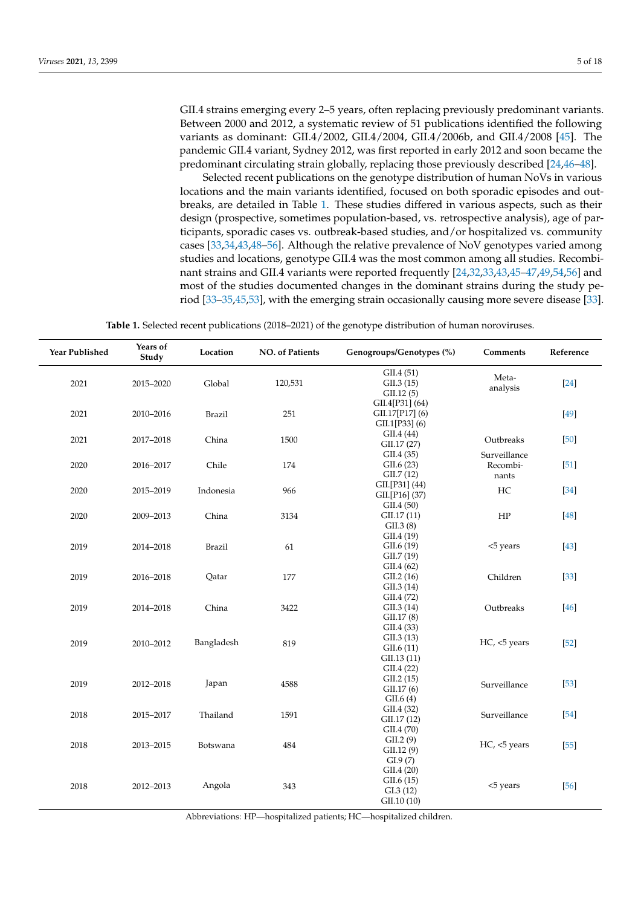GII.4 strains emerging every 2–5 years, often replacing previously predominant variants. Between 2000 and 2012, a systematic review of 51 publications identified the following variants as dominant: GII.4/2002, GII.4/2004, GII.4/2006b, and GII.4/2008 [\[45\]](#page-12-21). The pandemic GII.4 variant, Sydney 2012, was first reported in early 2012 and soon became the predominant circulating strain globally, replacing those previously described [\[24,](#page-12-1)[46–](#page-12-22)[48\]](#page-13-0).

Selected recent publications on the genotype distribution of human NoVs in various locations and the main variants identified, focused on both sporadic episodes and outbreaks, are detailed in Table [1.](#page-4-0) These studies differed in various aspects, such as their design (prospective, sometimes population-based, vs. retrospective analysis), age of participants, sporadic cases vs. outbreak-based studies, and/or hospitalized vs. community cases [\[33](#page-12-9)[,34](#page-12-10)[,43,](#page-12-19)[48](#page-13-0)[–56\]](#page-13-1). Although the relative prevalence of NoV genotypes varied among studies and locations, genotype GII.4 was the most common among all studies. Recombinant strains and GII.4 variants were reported frequently [\[24,](#page-12-1)[32,](#page-12-7)[33,](#page-12-9)[43,](#page-12-19)[45–](#page-12-21)[47,](#page-13-2)[49,](#page-13-3)[54,](#page-13-4)[56\]](#page-13-1) and most of the studies documented changes in the dominant strains during the study period [\[33](#page-12-9)[–35,](#page-12-23)[45,](#page-12-21)[53\]](#page-13-5), with the emerging strain occasionally causing more severe disease [\[33\]](#page-12-9).

**Table 1.** Selected recent publications (2018–2021) of the genotype distribution of human noroviruses.

<span id="page-4-0"></span>

| <b>Year Published</b> | Years of<br>Study | Location      | <b>NO.</b> of Patients | Genogroups/Genotypes (%)                             | Comments                          | Reference |
|-----------------------|-------------------|---------------|------------------------|------------------------------------------------------|-----------------------------------|-----------|
| 2021                  | 2015-2020         | Global        | 120,531                | GII.4(51)<br>GII.3(15)<br>GII.12(5)                  | Meta-<br>analysis                 | $[24]$    |
| 2021                  | 2010-2016         | <b>Brazil</b> | 251                    | GII.4[P31] (64)<br>GII.17[P17] (6)<br>GII.1[P33] (6) |                                   | [49]      |
| 2021                  | 2017-2018         | China         | 1500                   | GII.4(44)<br>GII.17 (27)                             | Outbreaks                         | $[50]$    |
| 2020                  | 2016-2017         | Chile         | 174                    | GII.4(35)<br>GII.6(23)<br>GII.7(12)                  | Surveillance<br>Recombi-<br>nants | $[51]$    |
| 2020                  | 2015-2019         | Indonesia     | 966                    | GII.[P31] (44)<br>GII.[P16] (37)<br>GII.4(50)        | HC                                | $[34]$    |
| 2020                  | 2009-2013         | China         | 3134                   | GII.17 (11)<br>GII.3(8)                              | HP                                | $[48]$    |
| 2019                  | 2014-2018         | <b>Brazil</b> | 61                     | GII.4(19)<br>GII.6(19)<br>GII.7 (19)                 | <5 years                          | $[43]$    |
| 2019                  | 2016-2018         | Qatar         | 177                    | GII.4(62)<br>GII.2(16)<br>GII.3(14)                  | Children                          | $[33]$    |
| 2019                  | 2014-2018         | China         | 3422                   | GII.4(72)<br>GII.3(14)<br>GII.17(8)                  | Outbreaks                         | [46]      |
| 2019                  | 2010-2012         | Bangladesh    | 819                    | GII.4(33)<br>GII.3(13)<br>GII.6(11)<br>GII.13(11)    | HC, <5 years                      | $[52]$    |
| 2019                  | 2012-2018         | Japan         | 4588                   | GII.4(22)<br>GII.2(15)<br>GII.17(6)<br>GII.6(4)      | Surveillance                      | $[53]$    |
| 2018                  | 2015-2017         | Thailand      | 1591                   | GII.4(32)<br>GII.17 (12)                             | Surveillance                      | $[54]$    |
| 2018                  | 2013-2015         | Botswana      | 484                    | GII.4(70)<br>GII.2(9)<br>GII.12(9)<br>GL9(7)         | HC, <5 years                      | $[55]$    |
| 2018                  | 2012-2013         | Angola        | 343                    | GII.4(20)<br>GII.6(15)<br>GL3(12)<br>GII.10 (10)     | <5 years                          | $[56]$    |

Abbreviations: HP—hospitalized patients; HC—hospitalized children.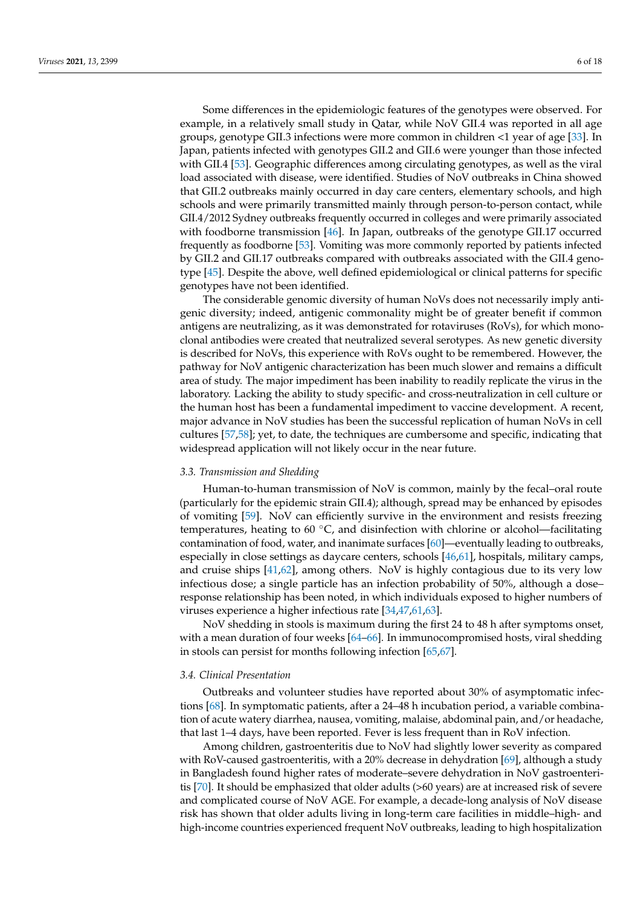Some differences in the epidemiologic features of the genotypes were observed. For example, in a relatively small study in Qatar, while NoV GII.4 was reported in all age groups, genotype GII.3 infections were more common in children <1 year of age [\[33\]](#page-12-9). In Japan, patients infected with genotypes GII.2 and GII.6 were younger than those infected with GII.4 [\[53\]](#page-13-5). Geographic differences among circulating genotypes, as well as the viral load associated with disease, were identified. Studies of NoV outbreaks in China showed that GII.2 outbreaks mainly occurred in day care centers, elementary schools, and high schools and were primarily transmitted mainly through person-to-person contact, while GII.4/2012 Sydney outbreaks frequently occurred in colleges and were primarily associated with foodborne transmission [\[46\]](#page-12-22). In Japan, outbreaks of the genotype GII.17 occurred frequently as foodborne [\[53\]](#page-13-5). Vomiting was more commonly reported by patients infected by GII.2 and GII.17 outbreaks compared with outbreaks associated with the GII.4 genotype [\[45\]](#page-12-21). Despite the above, well defined epidemiological or clinical patterns for specific genotypes have not been identified.

The considerable genomic diversity of human NoVs does not necessarily imply antigenic diversity; indeed, antigenic commonality might be of greater benefit if common antigens are neutralizing, as it was demonstrated for rotaviruses (RoVs), for which monoclonal antibodies were created that neutralized several serotypes. As new genetic diversity is described for NoVs, this experience with RoVs ought to be remembered. However, the pathway for NoV antigenic characterization has been much slower and remains a difficult area of study. The major impediment has been inability to readily replicate the virus in the laboratory. Lacking the ability to study specific- and cross-neutralization in cell culture or the human host has been a fundamental impediment to vaccine development. A recent, major advance in NoV studies has been the successful replication of human NoVs in cell cultures [\[57](#page-13-10)[,58\]](#page-13-11); yet, to date, the techniques are cumbersome and specific, indicating that widespread application will not likely occur in the near future.

#### *3.3. Transmission and Shedding*

Human-to-human transmission of NoV is common, mainly by the fecal–oral route (particularly for the epidemic strain GII.4); although, spread may be enhanced by episodes of vomiting [\[59\]](#page-13-12). NoV can efficiently survive in the environment and resists freezing temperatures, heating to 60  $°C$ , and disinfection with chlorine or alcohol—facilitating contamination of food, water, and inanimate surfaces [\[60\]](#page-13-13)—eventually leading to outbreaks, especially in close settings as daycare centers, schools [\[46,](#page-12-22)[61\]](#page-13-14), hospitals, military camps, and cruise ships [\[41](#page-12-17)[,62\]](#page-13-15), among others. NoV is highly contagious due to its very low infectious dose; a single particle has an infection probability of 50%, although a dose– response relationship has been noted, in which individuals exposed to higher numbers of viruses experience a higher infectious rate [\[34,](#page-12-10)[47](#page-13-2)[,61,](#page-13-14)[63\]](#page-13-16).

NoV shedding in stools is maximum during the first 24 to 48 h after symptoms onset, with a mean duration of four weeks [\[64–](#page-13-17)[66\]](#page-13-18). In immunocompromised hosts, viral shedding in stools can persist for months following infection [\[65](#page-13-19)[,67\]](#page-13-20).

#### *3.4. Clinical Presentation*

Outbreaks and volunteer studies have reported about 30% of asymptomatic infections [\[68\]](#page-13-21). In symptomatic patients, after a 24–48 h incubation period, a variable combination of acute watery diarrhea, nausea, vomiting, malaise, abdominal pain, and/or headache, that last 1–4 days, have been reported. Fever is less frequent than in RoV infection.

Among children, gastroenteritis due to NoV had slightly lower severity as compared with RoV-caused gastroenteritis, with a 20% decrease in dehydration [\[69\]](#page-13-22), although a study in Bangladesh found higher rates of moderate–severe dehydration in NoV gastroenteritis [\[70\]](#page-13-23). It should be emphasized that older adults (>60 years) are at increased risk of severe and complicated course of NoV AGE. For example, a decade-long analysis of NoV disease risk has shown that older adults living in long-term care facilities in middle–high- and high-income countries experienced frequent NoV outbreaks, leading to high hospitalization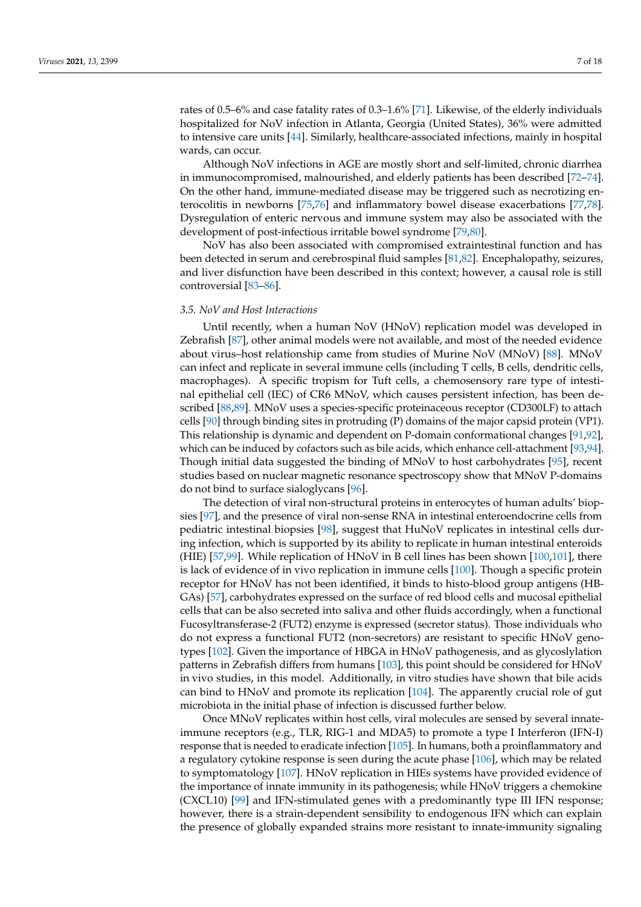rates of 0.5–6% and case fatality rates of 0.3–1.6% [\[71\]](#page-13-24). Likewise, of the elderly individuals hospitalized for NoV infection in Atlanta, Georgia (United States), 36% were admitted to intensive care units [\[44\]](#page-12-20). Similarly, healthcare-associated infections, mainly in hospital wards, can occur.

Although NoV infections in AGE are mostly short and self-limited, chronic diarrhea in immunocompromised, malnourished, and elderly patients has been described [\[72](#page-13-25)[–74\]](#page-14-0). On the other hand, immune-mediated disease may be triggered such as necrotizing enterocolitis in newborns [\[75](#page-14-1)[,76\]](#page-14-2) and inflammatory bowel disease exacerbations [\[77,](#page-14-3)[78\]](#page-14-4). Dysregulation of enteric nervous and immune system may also be associated with the development of post-infectious irritable bowel syndrome [\[79,](#page-14-5)[80\]](#page-14-6).

NoV has also been associated with compromised extraintestinal function and has been detected in serum and cerebrospinal fluid samples [\[81](#page-14-7)[,82\]](#page-14-8). Encephalopathy, seizures, and liver disfunction have been described in this context; however, a causal role is still controversial [\[83](#page-14-9)[–86\]](#page-14-10).

#### *3.5. NoV and Host Interactions*

Until recently, when a human NoV (HNoV) replication model was developed in Zebrafish [\[87\]](#page-14-11), other animal models were not available, and most of the needed evidence about virus–host relationship came from studies of Murine NoV (MNoV) [\[88\]](#page-14-12). MNoV can infect and replicate in several immune cells (including T cells, B cells, dendritic cells, macrophages). A specific tropism for Tuft cells, a chemosensory rare type of intestinal epithelial cell (IEC) of CR6 MNoV, which causes persistent infection, has been described [\[88](#page-14-12)[,89\]](#page-14-13). MNoV uses a species-specific proteinaceous receptor (CD300LF) to attach cells [\[90\]](#page-14-14) through binding sites in protruding (P) domains of the major capsid protein (VP1). This relationship is dynamic and dependent on P-domain conformational changes [\[91](#page-14-15)[,92\]](#page-14-16), which can be induced by cofactors such as bile acids, which enhance cell-attachment [\[93](#page-14-17)[,94\]](#page-14-18). Though initial data suggested the binding of MNoV to host carbohydrates [\[95\]](#page-14-19), recent studies based on nuclear magnetic resonance spectroscopy show that MNoV P-domains do not bind to surface sialoglycans [\[96\]](#page-14-20).

The detection of viral non-structural proteins in enterocytes of human adults' biopsies [\[97\]](#page-15-0), and the presence of viral non-sense RNA in intestinal enteroendocrine cells from pediatric intestinal biopsies [\[98\]](#page-15-1), suggest that HuNoV replicates in intestinal cells during infection, which is supported by its ability to replicate in human intestinal enteroids (HIE) [\[57](#page-13-10)[,99\]](#page-15-2). While replication of HNoV in B cell lines has been shown [\[100](#page-15-3)[,101\]](#page-15-4), there is lack of evidence of in vivo replication in immune cells [\[100\]](#page-15-3). Though a specific protein receptor for HNoV has not been identified, it binds to histo-blood group antigens (HB-GAs) [\[57\]](#page-13-10), carbohydrates expressed on the surface of red blood cells and mucosal epithelial cells that can be also secreted into saliva and other fluids accordingly, when a functional Fucosyltransferase-2 (FUT2) enzyme is expressed (secretor status). Those individuals who do not express a functional FUT2 (non-secretors) are resistant to specific HNoV genotypes [\[102\]](#page-15-5). Given the importance of HBGA in HNoV pathogenesis, and as glycoslylation patterns in Zebrafish differs from humans [\[103\]](#page-15-6), this point should be considered for HNoV in vivo studies, in this model. Additionally, in vitro studies have shown that bile acids can bind to HNoV and promote its replication [\[104\]](#page-15-7). The apparently crucial role of gut microbiota in the initial phase of infection is discussed further below.

Once MNoV replicates within host cells, viral molecules are sensed by several innateimmune receptors (e.g., TLR, RIG-1 and MDA5) to promote a type I Interferon (IFN-I) response that is needed to eradicate infection [\[105\]](#page-15-8). In humans, both a proinflammatory and a regulatory cytokine response is seen during the acute phase [\[106\]](#page-15-9), which may be related to symptomatology [\[107\]](#page-15-10). HNoV replication in HIEs systems have provided evidence of the importance of innate immunity in its pathogenesis; while HNoV triggers a chemokine (CXCL10) [\[99\]](#page-15-2) and IFN-stimulated genes with a predominantly type III IFN response; however, there is a strain-dependent sensibility to endogenous IFN which can explain the presence of globally expanded strains more resistant to innate-immunity signaling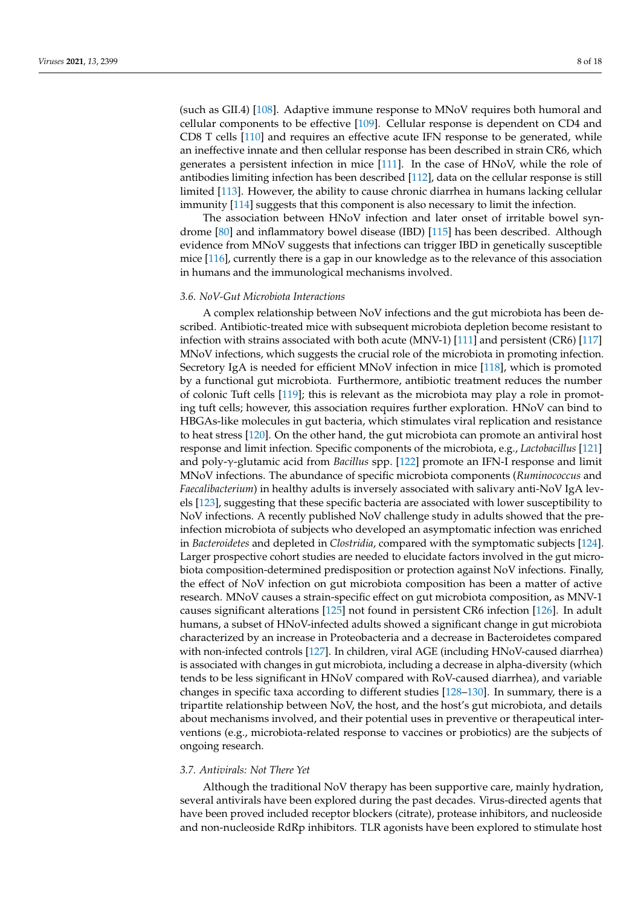(such as GII.4) [\[108\]](#page-15-11). Adaptive immune response to MNoV requires both humoral and cellular components to be effective [\[109\]](#page-15-12). Cellular response is dependent on CD4 and CD8 T cells [\[110\]](#page-15-13) and requires an effective acute IFN response to be generated, while an ineffective innate and then cellular response has been described in strain CR6, which generates a persistent infection in mice [\[111\]](#page-15-14). In the case of HNoV, while the role of antibodies limiting infection has been described [\[112\]](#page-15-15), data on the cellular response is still limited [\[113\]](#page-15-16). However, the ability to cause chronic diarrhea in humans lacking cellular immunity [\[114\]](#page-15-17) suggests that this component is also necessary to limit the infection.

The association between HNoV infection and later onset of irritable bowel syndrome [\[80\]](#page-14-6) and inflammatory bowel disease (IBD) [\[115\]](#page-15-18) has been described. Although evidence from MNoV suggests that infections can trigger IBD in genetically susceptible mice [\[116\]](#page-15-19), currently there is a gap in our knowledge as to the relevance of this association in humans and the immunological mechanisms involved.

#### *3.6. NoV-Gut Microbiota Interactions*

A complex relationship between NoV infections and the gut microbiota has been described. Antibiotic-treated mice with subsequent microbiota depletion become resistant to infection with strains associated with both acute (MNV-1) [\[111\]](#page-15-14) and persistent (CR6) [\[117\]](#page-15-20) MNoV infections, which suggests the crucial role of the microbiota in promoting infection. Secretory IgA is needed for efficient MNoV infection in mice [\[118\]](#page-15-21), which is promoted by a functional gut microbiota. Furthermore, antibiotic treatment reduces the number of colonic Tuft cells [\[119\]](#page-15-22); this is relevant as the microbiota may play a role in promoting tuft cells; however, this association requires further exploration. HNoV can bind to HBGAs-like molecules in gut bacteria, which stimulates viral replication and resistance to heat stress [\[120\]](#page-15-23). On the other hand, the gut microbiota can promote an antiviral host response and limit infection. Specific components of the microbiota, e.g., *Lactobacillus* [\[121\]](#page-15-24) and poly-γ-glutamic acid from *Bacillus* spp. [\[122\]](#page-15-25) promote an IFN-I response and limit MNoV infections. The abundance of specific microbiota components (*Ruminococcus* and *Faecalibacterium*) in healthy adults is inversely associated with salivary anti-NoV IgA levels [\[123\]](#page-16-0), suggesting that these specific bacteria are associated with lower susceptibility to NoV infections. A recently published NoV challenge study in adults showed that the preinfection microbiota of subjects who developed an asymptomatic infection was enriched in *Bacteroidetes* and depleted in *Clostridia*, compared with the symptomatic subjects [\[124\]](#page-16-1). Larger prospective cohort studies are needed to elucidate factors involved in the gut microbiota composition-determined predisposition or protection against NoV infections. Finally, the effect of NoV infection on gut microbiota composition has been a matter of active research. MNoV causes a strain-specific effect on gut microbiota composition, as MNV-1 causes significant alterations [\[125\]](#page-16-2) not found in persistent CR6 infection [\[126\]](#page-16-3). In adult humans, a subset of HNoV-infected adults showed a significant change in gut microbiota characterized by an increase in Proteobacteria and a decrease in Bacteroidetes compared with non-infected controls [\[127\]](#page-16-4). In children, viral AGE (including HNoV-caused diarrhea) is associated with changes in gut microbiota, including a decrease in alpha-diversity (which tends to be less significant in HNoV compared with RoV-caused diarrhea), and variable changes in specific taxa according to different studies [\[128](#page-16-5)[–130\]](#page-16-6). In summary, there is a tripartite relationship between NoV, the host, and the host's gut microbiota, and details about mechanisms involved, and their potential uses in preventive or therapeutical interventions (e.g., microbiota-related response to vaccines or probiotics) are the subjects of ongoing research.

## *3.7. Antivirals: Not There Yet*

Although the traditional NoV therapy has been supportive care, mainly hydration, several antivirals have been explored during the past decades. Virus-directed agents that have been proved included receptor blockers (citrate), protease inhibitors, and nucleoside and non-nucleoside RdRp inhibitors. TLR agonists have been explored to stimulate host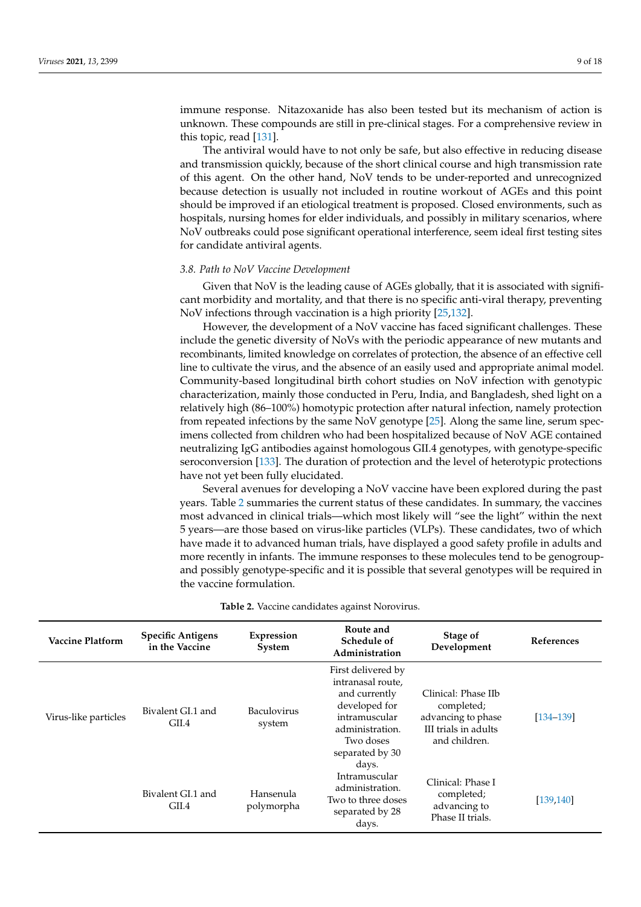immune response. Nitazoxanide has also been tested but its mechanism of action is unknown. These compounds are still in pre-clinical stages. For a comprehensive review in this topic, read [\[131\]](#page-16-7).

The antiviral would have to not only be safe, but also effective in reducing disease and transmission quickly, because of the short clinical course and high transmission rate of this agent. On the other hand, NoV tends to be under-reported and unrecognized because detection is usually not included in routine workout of AGEs and this point should be improved if an etiological treatment is proposed. Closed environments, such as hospitals, nursing homes for elder individuals, and possibly in military scenarios, where NoV outbreaks could pose significant operational interference, seem ideal first testing sites for candidate antiviral agents.

### *3.8. Path to NoV Vaccine Development*

Given that NoV is the leading cause of AGEs globally, that it is associated with significant morbidity and mortality, and that there is no specific anti-viral therapy, preventing NoV infections through vaccination is a high priority [\[25](#page-12-8)[,132\]](#page-16-8).

However, the development of a NoV vaccine has faced significant challenges. These include the genetic diversity of NoVs with the periodic appearance of new mutants and recombinants, limited knowledge on correlates of protection, the absence of an effective cell line to cultivate the virus, and the absence of an easily used and appropriate animal model. Community-based longitudinal birth cohort studies on NoV infection with genotypic characterization, mainly those conducted in Peru, India, and Bangladesh, shed light on a relatively high (86–100%) homotypic protection after natural infection, namely protection from repeated infections by the same NoV genotype [\[25\]](#page-12-8). Along the same line, serum specimens collected from children who had been hospitalized because of NoV AGE contained neutralizing IgG antibodies against homologous GII.4 genotypes, with genotype-specific seroconversion [\[133\]](#page-16-9). The duration of protection and the level of heterotypic protections have not yet been fully elucidated.

Several avenues for developing a NoV vaccine have been explored during the past years. Table [2](#page-9-0) summaries the current status of these candidates. In summary, the vaccines most advanced in clinical trials—which most likely will "see the light" within the next 5 years—are those based on virus-like particles (VLPs). These candidates, two of which have made it to advanced human trials, have displayed a good safety profile in adults and more recently in infants. The immune responses to these molecules tend to be genogroupand possibly genotype-specific and it is possible that several genotypes will be required in the vaccine formulation.

|  |  | Table 2. Vaccine candidates against Norovirus. |
|--|--|------------------------------------------------|
|  |  |                                                |

| <b>Vaccine Platform</b> | <b>Specific Antigens</b><br>in the Vaccine | Expression<br>System         | Route and<br>Schedule of<br>Administration                                                                                                             | Stage of<br>Development                                                                          | <b>References</b> |
|-------------------------|--------------------------------------------|------------------------------|--------------------------------------------------------------------------------------------------------------------------------------------------------|--------------------------------------------------------------------------------------------------|-------------------|
| Virus-like particles    | Bivalent GL1 and<br>GII.4                  | <b>Baculovirus</b><br>system | First delivered by<br>intranasal route,<br>and currently<br>developed for<br>intramuscular<br>administration.<br>Two doses<br>separated by 30<br>days. | Clinical: Phase IIb<br>completed;<br>advancing to phase<br>III trials in adults<br>and children. | $[134 - 139]$     |
|                         | Bivalent GL1 and<br>GII.4                  | Hansenula<br>polymorpha      | Intramuscular<br>administration.<br>Two to three doses<br>separated by 28<br>days.                                                                     | Clinical: Phase I<br>completed;<br>advancing to<br>Phase II trials.                              | [139, 140]        |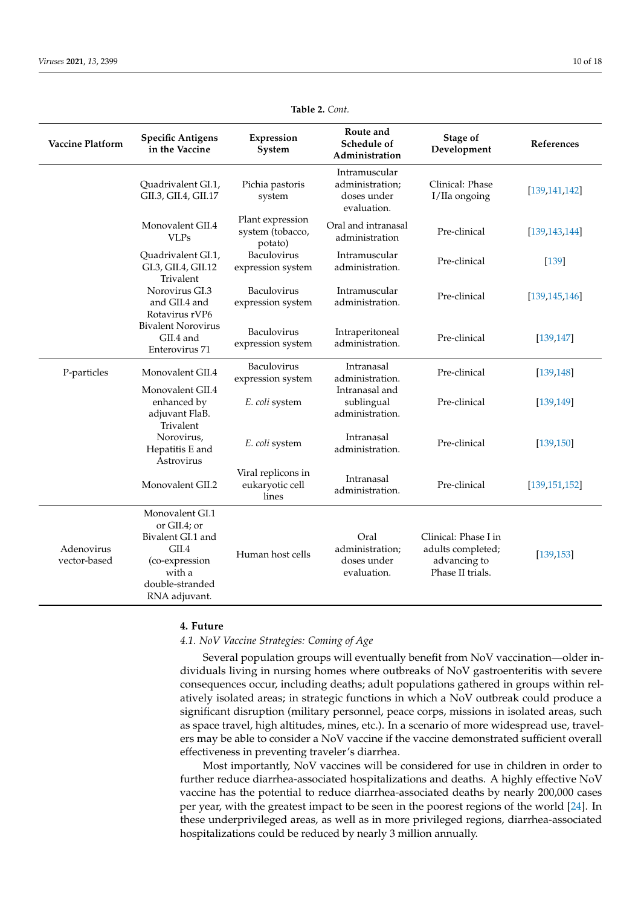<span id="page-9-0"></span>

| <b>Vaccine Platform</b>    | <b>Specific Antigens</b><br>in the Vaccine                                                                      | Expression<br>System                            | Route and<br>Schedule of<br>Administration                     | <b>Stage of</b><br>Development                                                | References      |
|----------------------------|-----------------------------------------------------------------------------------------------------------------|-------------------------------------------------|----------------------------------------------------------------|-------------------------------------------------------------------------------|-----------------|
|                            | Quadrivalent GI.1,<br>GII.3, GII.4, GII.17                                                                      | Pichia pastoris<br>system                       | Intramuscular<br>administration;<br>doses under<br>evaluation. | Clinical: Phase<br>I/IIa ongoing                                              | [139, 141, 142] |
|                            | Monovalent GII.4<br><b>VLPs</b>                                                                                 | Plant expression<br>system (tobacco,<br>potato) | Oral and intranasal<br>administration                          | Pre-clinical                                                                  | [139, 143, 144] |
|                            | Quadrivalent GI.1,<br>GI.3, GII.4, GII.12<br>Trivalent                                                          | Baculovirus<br>expression system                | Intramuscular<br>administration.                               | Pre-clinical                                                                  | $[139]$         |
|                            | Norovirus GI.3<br>and GII.4 and<br>Rotavirus rVP6                                                               | Baculovirus<br>expression system                | Intramuscular<br>administration.                               | Pre-clinical                                                                  | [139, 145, 146] |
|                            | <b>Bivalent Norovirus</b><br>GII.4 and<br>Enterovirus 71                                                        | Baculovirus<br>expression system                | Intraperitoneal<br>administration.                             | Pre-clinical                                                                  | [139, 147]      |
| P-particles                | Monovalent GII.4                                                                                                | Baculovirus<br>expression system                | Intranasal<br>administration.                                  | Pre-clinical                                                                  | [139, 148]      |
|                            | Monovalent GII.4<br>enhanced by<br>adjuvant FlaB.<br>Trivalent                                                  | E. coli system                                  | Intranasal and<br>sublingual<br>administration.                | Pre-clinical                                                                  | [139, 149]      |
|                            | Norovirus,<br>Hepatitis E and<br>Astrovirus                                                                     | E. coli system                                  | Intranasal<br>administration.                                  | Pre-clinical                                                                  | [139, 150]      |
|                            | Monovalent GII.2                                                                                                | Viral replicons in<br>eukaryotic cell<br>lines  | Intranasal<br>administration.                                  | Pre-clinical                                                                  | [139, 151, 152] |
| Adenovirus<br>vector-based | Monovalent GI.1<br>or $GII.4$ : or<br>Bivalent GI.1 and<br>GII.4<br>(co-expression<br>with a<br>double-stranded | Human host cells                                | Oral<br>administration;<br>doses under<br>evaluation.          | Clinical: Phase I in<br>adults completed;<br>advancing to<br>Phase II trials. | [139, 153]      |

**Table 2.** *Cont.*

# **4. Future**

RNA adjuvant.

*4.1. NoV Vaccine Strategies: Coming of Age*

Several population groups will eventually benefit from NoV vaccination—older individuals living in nursing homes where outbreaks of NoV gastroenteritis with severe consequences occur, including deaths; adult populations gathered in groups within relatively isolated areas; in strategic functions in which a NoV outbreak could produce a significant disruption (military personnel, peace corps, missions in isolated areas, such as space travel, high altitudes, mines, etc.). In a scenario of more widespread use, travelers may be able to consider a NoV vaccine if the vaccine demonstrated sufficient overall effectiveness in preventing traveler's diarrhea.

Most importantly, NoV vaccines will be considered for use in children in order to further reduce diarrhea-associated hospitalizations and deaths. A highly effective NoV vaccine has the potential to reduce diarrhea-associated deaths by nearly 200,000 cases per year, with the greatest impact to be seen in the poorest regions of the world [\[24\]](#page-12-1). In these underprivileged areas, as well as in more privileged regions, diarrhea-associated hospitalizations could be reduced by nearly 3 million annually.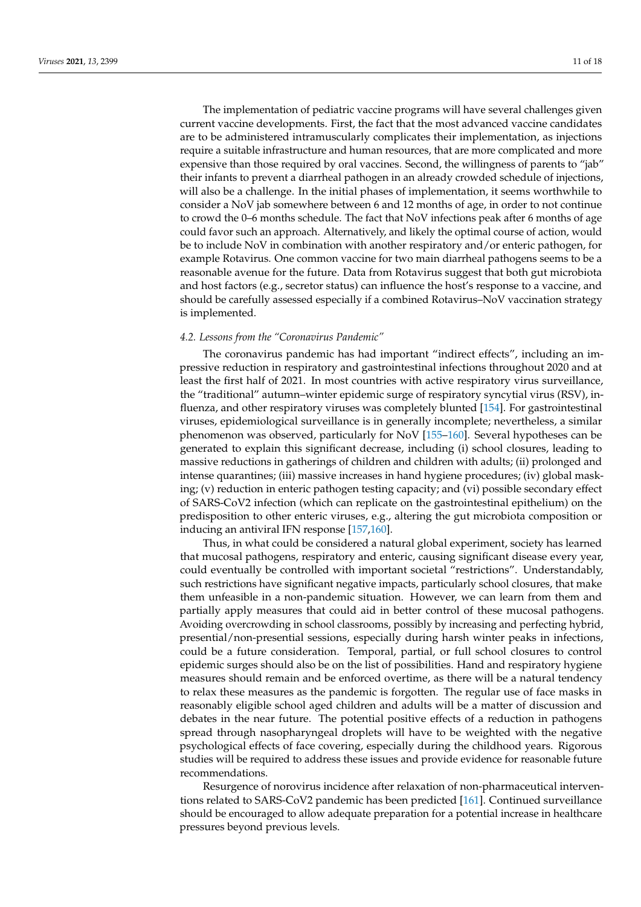The implementation of pediatric vaccine programs will have several challenges given current vaccine developments. First, the fact that the most advanced vaccine candidates are to be administered intramuscularly complicates their implementation, as injections require a suitable infrastructure and human resources, that are more complicated and more expensive than those required by oral vaccines. Second, the willingness of parents to "jab" their infants to prevent a diarrheal pathogen in an already crowded schedule of injections, will also be a challenge. In the initial phases of implementation, it seems worthwhile to consider a NoV jab somewhere between 6 and 12 months of age, in order to not continue to crowd the 0–6 months schedule. The fact that NoV infections peak after 6 months of age could favor such an approach. Alternatively, and likely the optimal course of action, would be to include NoV in combination with another respiratory and/or enteric pathogen, for example Rotavirus. One common vaccine for two main diarrheal pathogens seems to be a reasonable avenue for the future. Data from Rotavirus suggest that both gut microbiota and host factors (e.g., secretor status) can influence the host's response to a vaccine, and should be carefully assessed especially if a combined Rotavirus–NoV vaccination strategy is implemented.

## *4.2. Lessons from the "Coronavirus Pandemic"*

The coronavirus pandemic has had important "indirect effects", including an impressive reduction in respiratory and gastrointestinal infections throughout 2020 and at least the first half of 2021. In most countries with active respiratory virus surveillance, the "traditional" autumn–winter epidemic surge of respiratory syncytial virus (RSV), influenza, and other respiratory viruses was completely blunted [\[154\]](#page-17-6). For gastrointestinal viruses, epidemiological surveillance is in generally incomplete; nevertheless, a similar phenomenon was observed, particularly for NoV [\[155–](#page-17-7)[160\]](#page-17-8). Several hypotheses can be generated to explain this significant decrease, including (i) school closures, leading to massive reductions in gatherings of children and children with adults; (ii) prolonged and intense quarantines; (iii) massive increases in hand hygiene procedures; (iv) global masking; (v) reduction in enteric pathogen testing capacity; and (vi) possible secondary effect of SARS-CoV2 infection (which can replicate on the gastrointestinal epithelium) on the predisposition to other enteric viruses, e.g., altering the gut microbiota composition or inducing an antiviral IFN response [\[157,](#page-17-9)[160\]](#page-17-8).

Thus, in what could be considered a natural global experiment, society has learned that mucosal pathogens, respiratory and enteric, causing significant disease every year, could eventually be controlled with important societal "restrictions". Understandably, such restrictions have significant negative impacts, particularly school closures, that make them unfeasible in a non-pandemic situation. However, we can learn from them and partially apply measures that could aid in better control of these mucosal pathogens. Avoiding overcrowding in school classrooms, possibly by increasing and perfecting hybrid, presential/non-presential sessions, especially during harsh winter peaks in infections, could be a future consideration. Temporal, partial, or full school closures to control epidemic surges should also be on the list of possibilities. Hand and respiratory hygiene measures should remain and be enforced overtime, as there will be a natural tendency to relax these measures as the pandemic is forgotten. The regular use of face masks in reasonably eligible school aged children and adults will be a matter of discussion and debates in the near future. The potential positive effects of a reduction in pathogens spread through nasopharyngeal droplets will have to be weighted with the negative psychological effects of face covering, especially during the childhood years. Rigorous studies will be required to address these issues and provide evidence for reasonable future recommendations.

Resurgence of norovirus incidence after relaxation of non-pharmaceutical interventions related to SARS-CoV2 pandemic has been predicted [\[161\]](#page-17-10). Continued surveillance should be encouraged to allow adequate preparation for a potential increase in healthcare pressures beyond previous levels.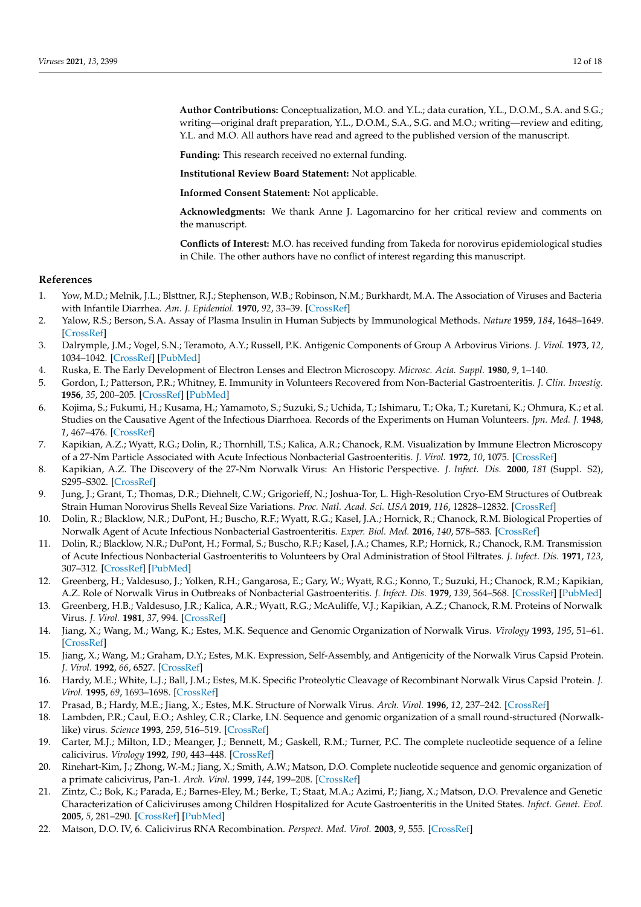**Author Contributions:** Conceptualization, M.O. and Y.L.; data curation, Y.L., D.O.M., S.A. and S.G.; writing—original draft preparation, Y.L., D.O.M., S.A., S.G. and M.O.; writing—review and editing, Y.L. and M.O. All authors have read and agreed to the published version of the manuscript.

**Funding:** This research received no external funding.

**Institutional Review Board Statement:** Not applicable.

**Informed Consent Statement:** Not applicable.

**Acknowledgments:** We thank Anne J. Lagomarcino for her critical review and comments on the manuscript.

**Conflicts of Interest:** M.O. has received funding from Takeda for norovirus epidemiological studies in Chile. The other authors have no conflict of interest regarding this manuscript.

#### **References**

- <span id="page-11-0"></span>1. Yow, M.D.; Melnik, J.L.; Blsttner, R.J.; Stephenson, W.B.; Robinson, N.M.; Burkhardt, M.A. The Association of Viruses and Bacteria with Infantile Diarrhea. *Am. J. Epidemiol.* **1970**, *92*, 33–39. [\[CrossRef\]](http://doi.org/10.1093/oxfordjournals.aje.a121177)
- <span id="page-11-1"></span>2. Yalow, R.S.; Berson, S.A. Assay of Plasma Insulin in Human Subjects by Immunological Methods. *Nature* **1959**, *184*, 1648–1649. [\[CrossRef\]](http://doi.org/10.1038/1841648b0)
- <span id="page-11-2"></span>3. Dalrymple, J.M.; Vogel, S.N.; Teramoto, A.Y.; Russell, P.K. Antigenic Components of Group A Arbovirus Virions. *J. Virol.* **1973**, *12*, 1034–1042. [\[CrossRef\]](http://doi.org/10.1128/jvi.12.5.1034-1042.1973) [\[PubMed\]](http://www.ncbi.nlm.nih.gov/pubmed/4128825)
- <span id="page-11-3"></span>4. Ruska, E. The Early Development of Electron Lenses and Electron Microscopy. *Microsc. Acta. Suppl.* **1980**, *9*, 1–140.
- <span id="page-11-4"></span>5. Gordon, I.; Patterson, P.R.; Whitney, E. Immunity in Volunteers Recovered from Non-Bacterial Gastroenteritis. *J. Clin. Investig.* **1956**, *35*, 200–205. [\[CrossRef\]](http://doi.org/10.1172/JCI103264) [\[PubMed\]](http://www.ncbi.nlm.nih.gov/pubmed/13286338)
- <span id="page-11-5"></span>6. Kojima, S.; Fukumi, H.; Kusama, H.; Yamamoto, S.; Suzuki, S.; Uchida, T.; Ishimaru, T.; Oka, T.; Kuretani, K.; Ohmura, K.; et al. Studies on the Causative Agent of the Infectious Diarrhoea. Records of the Experiments on Human Volunteers. *Jpn. Med. J.* **1948**, *1*, 467–476. [\[CrossRef\]](http://doi.org/10.7883/yoken1948.1.467)
- <span id="page-11-6"></span>7. Kapikian, A.Z.; Wyatt, R.G.; Dolin, R.; Thornhill, T.S.; Kalica, A.R.; Chanock, R.M. Visualization by Immune Electron Microscopy of a 27-Nm Particle Associated with Acute Infectious Nonbacterial Gastroenteritis. *J. Virol.* **1972**, *10*, 1075. [\[CrossRef\]](http://doi.org/10.1128/jvi.10.5.1075-1081.1972)
- <span id="page-11-7"></span>8. Kapikian, A.Z. The Discovery of the 27-Nm Norwalk Virus: An Historic Perspective. *J. Infect. Dis.* **2000**, *181* (Suppl. S2), S295–S302. [\[CrossRef\]](http://doi.org/10.1086/315584)
- <span id="page-11-8"></span>9. Jung, J.; Grant, T.; Thomas, D.R.; Diehnelt, C.W.; Grigorieff, N.; Joshua-Tor, L. High-Resolution Cryo-EM Structures of Outbreak Strain Human Norovirus Shells Reveal Size Variations. *Proc. Natl. Acad. Sci. USA* **2019**, *116*, 12828–12832. [\[CrossRef\]](http://doi.org/10.1073/pnas.1903562116)
- <span id="page-11-9"></span>10. Dolin, R.; Blacklow, N.R.; DuPont, H.; Buscho, R.F.; Wyatt, R.G.; Kasel, J.A.; Hornick, R.; Chanock, R.M. Biological Properties of Norwalk Agent of Acute Infectious Nonbacterial Gastroenteritis. *Exper. Biol. Med.* **2016**, *140*, 578–583. [\[CrossRef\]](http://doi.org/10.3181/00379727-140-36508)
- <span id="page-11-10"></span>11. Dolin, R.; Blacklow, N.R.; DuPont, H.; Formal, S.; Buscho, R.F.; Kasel, J.A.; Chames, R.P.; Hornick, R.; Chanock, R.M. Transmission of Acute Infectious Nonbacterial Gastroenteritis to Volunteers by Oral Administration of Stool Filtrates. *J. Infect. Dis.* **1971**, *123*, 307–312. [\[CrossRef\]](http://doi.org/10.1093/infdis/123.3.307) [\[PubMed\]](http://www.ncbi.nlm.nih.gov/pubmed/5111887)
- <span id="page-11-11"></span>12. Greenberg, H.; Valdesuso, J.; Yolken, R.H.; Gangarosa, E.; Gary, W.; Wyatt, R.G.; Konno, T.; Suzuki, H.; Chanock, R.M.; Kapikian, A.Z. Role of Norwalk Virus in Outbreaks of Nonbacterial Gastroenteritis. *J. Infect. Dis.* **1979**, *139*, 564–568. [\[CrossRef\]](http://doi.org/10.1093/infdis/139.5.564) [\[PubMed\]](http://www.ncbi.nlm.nih.gov/pubmed/220341)
- <span id="page-11-12"></span>13. Greenberg, H.B.; Valdesuso, J.R.; Kalica, A.R.; Wyatt, R.G.; McAuliffe, V.J.; Kapikian, A.Z.; Chanock, R.M. Proteins of Norwalk Virus. *J. Virol.* **1981**, *37*, 994. [\[CrossRef\]](http://doi.org/10.1128/jvi.37.3.994-999.1981)
- <span id="page-11-13"></span>14. Jiang, X.; Wang, M.; Wang, K.; Estes, M.K. Sequence and Genomic Organization of Norwalk Virus. *Virology* **1993**, *195*, 51–61. [\[CrossRef\]](http://doi.org/10.1006/viro.1993.1345)
- <span id="page-11-14"></span>15. Jiang, X.; Wang, M.; Graham, D.Y.; Estes, M.K. Expression, Self-Assembly, and Antigenicity of the Norwalk Virus Capsid Protein. *J. Virol.* **1992**, *66*, 6527. [\[CrossRef\]](http://doi.org/10.1128/jvi.66.11.6527-6532.1992)
- <span id="page-11-15"></span>16. Hardy, M.E.; White, L.J.; Ball, J.M.; Estes, M.K. Specific Proteolytic Cleavage of Recombinant Norwalk Virus Capsid Protein. *J. Virol.* **1995**, *69*, 1693–1698. [\[CrossRef\]](http://doi.org/10.1128/jvi.69.3.1693-1698.1995)
- <span id="page-11-16"></span>17. Prasad, B.; Hardy, M.E.; Jiang, X.; Estes, M.K. Structure of Norwalk Virus. *Arch. Virol.* **1996**, *12*, 237–242. [\[CrossRef\]](http://doi.org/10.1007/978-3-7091-6553-9_25)
- <span id="page-11-17"></span>18. Lambden, P.R.; Caul, E.O.; Ashley, C.R.; Clarke, I.N. Sequence and genomic organization of a small round-structured (Norwalklike) virus. *Science* **1993**, *259*, 516–519. [\[CrossRef\]](http://doi.org/10.1126/science.8380940)
- 19. Carter, M.J.; Milton, I.D.; Meanger, J.; Bennett, M.; Gaskell, R.M.; Turner, P.C. The complete nucleotide sequence of a feline calicivirus. *Virology* **1992**, *190*, 443–448. [\[CrossRef\]](http://doi.org/10.1016/0042-6822(92)91231-I)
- <span id="page-11-18"></span>20. Rinehart-Kim, J.; Zhong, W.-M.; Jiang, X.; Smith, A.W.; Matson, D.O. Complete nucleotide sequence and genomic organization of a primate calicivirus, Pan-1. *Arch. Virol.* **1999**, *144*, 199–208. [\[CrossRef\]](http://doi.org/10.1007/s007050050497)
- <span id="page-11-19"></span>21. Zintz, C.; Bok, K.; Parada, E.; Barnes-Eley, M.; Berke, T.; Staat, M.A.; Azimi, P.; Jiang, X.; Matson, D.O. Prevalence and Genetic Characterization of Caliciviruses among Children Hospitalized for Acute Gastroenteritis in the United States. *Infect. Genet. Evol.* **2005**, *5*, 281–290. [\[CrossRef\]](http://doi.org/10.1016/j.meegid.2004.06.010) [\[PubMed\]](http://www.ncbi.nlm.nih.gov/pubmed/15737920)
- <span id="page-11-20"></span>22. Matson, D.O. IV, 6. Calicivirus RNA Recombination. *Perspect. Med. Virol.* **2003**, *9*, 555. [\[CrossRef\]](http://doi.org/10.1016/S0168-7069(03)09032-3)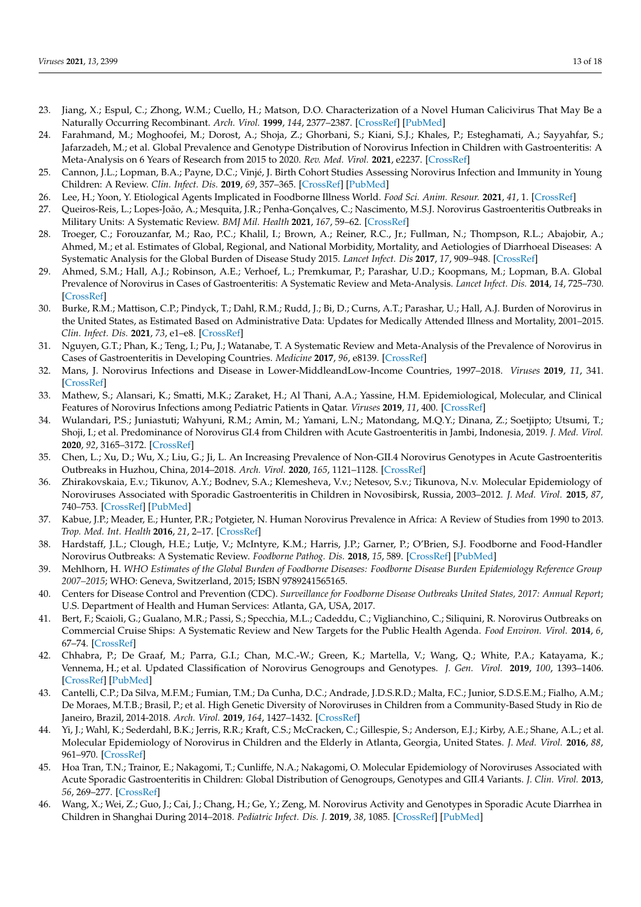- <span id="page-12-0"></span>23. Jiang, X.; Espul, C.; Zhong, W.M.; Cuello, H.; Matson, D.O. Characterization of a Novel Human Calicivirus That May Be a Naturally Occurring Recombinant. *Arch. Virol.* **1999**, *144*, 2377–2387. [\[CrossRef\]](http://doi.org/10.1007/s007050050651) [\[PubMed\]](http://www.ncbi.nlm.nih.gov/pubmed/10664391)
- <span id="page-12-1"></span>24. Farahmand, M.; Moghoofei, M.; Dorost, A.; Shoja, Z.; Ghorbani, S.; Kiani, S.J.; Khales, P.; Esteghamati, A.; Sayyahfar, S.; Jafarzadeh, M.; et al. Global Prevalence and Genotype Distribution of Norovirus Infection in Children with Gastroenteritis: A Meta-Analysis on 6 Years of Research from 2015 to 2020. *Rev. Med. Virol.* **2021**, e2237. [\[CrossRef\]](http://doi.org/10.1002/rmv.2237)
- <span id="page-12-8"></span>25. Cannon, J.L.; Lopman, B.A.; Payne, D.C.; Vinjé, J. Birth Cohort Studies Assessing Norovirus Infection and Immunity in Young Children: A Review. *Clin. Infect. Dis.* **2019**, *69*, 357–365. [\[CrossRef\]](http://doi.org/10.1093/cid/ciy985) [\[PubMed\]](http://www.ncbi.nlm.nih.gov/pubmed/30753367)
- <span id="page-12-13"></span>26. Lee, H.; Yoon, Y. Etiological Agents Implicated in Foodborne Illness World. *Food Sci. Anim. Resour.* **2021**, *41*, 1. [\[CrossRef\]](http://doi.org/10.5851/kosfa.2020.e75)
- <span id="page-12-2"></span>27. Queiros-Reis, L.; Lopes-João, A.; Mesquita, J.R.; Penha-Gonçalves, C.; Nascimento, M.S.J. Norovirus Gastroenteritis Outbreaks in Military Units: A Systematic Review. *BMJ Mil. Health* **2021**, *167*, 59–62. [\[CrossRef\]](http://doi.org/10.1136/bmjmilitary-2019-001341)
- <span id="page-12-3"></span>28. Troeger, C.; Forouzanfar, M.; Rao, P.C.; Khalil, I.; Brown, A.; Reiner, R.C., Jr.; Fullman, N.; Thompson, R.L.; Abajobir, A.; Ahmed, M.; et al. Estimates of Global, Regional, and National Morbidity, Mortality, and Aetiologies of Diarrhoeal Diseases: A Systematic Analysis for the Global Burden of Disease Study 2015. *Lancet Infect. Dis* **2017**, *17*, 909–948. [\[CrossRef\]](http://doi.org/10.1016/S1473-3099(17)30276-1)
- <span id="page-12-4"></span>29. Ahmed, S.M.; Hall, A.J.; Robinson, A.E.; Verhoef, L.; Premkumar, P.; Parashar, U.D.; Koopmans, M.; Lopman, B.A. Global Prevalence of Norovirus in Cases of Gastroenteritis: A Systematic Review and Meta-Analysis. *Lancet Infect. Dis.* **2014**, *14*, 725–730. [\[CrossRef\]](http://doi.org/10.1016/S1473-3099(14)70767-4)
- <span id="page-12-5"></span>30. Burke, R.M.; Mattison, C.P.; Pindyck, T.; Dahl, R.M.; Rudd, J.; Bi, D.; Curns, A.T.; Parashar, U.; Hall, A.J. Burden of Norovirus in the United States, as Estimated Based on Administrative Data: Updates for Medically Attended Illness and Mortality, 2001–2015. *Clin. Infect. Dis.* **2021**, *73*, e1–e8. [\[CrossRef\]](http://doi.org/10.1093/cid/ciaa438)
- <span id="page-12-6"></span>31. Nguyen, G.T.; Phan, K.; Teng, I.; Pu, J.; Watanabe, T. A Systematic Review and Meta-Analysis of the Prevalence of Norovirus in Cases of Gastroenteritis in Developing Countries. *Medicine* **2017**, *96*, e8139. [\[CrossRef\]](http://doi.org/10.1097/MD.0000000000008139)
- <span id="page-12-7"></span>32. Mans, J. Norovirus Infections and Disease in Lower-MiddleandLow-Income Countries, 1997–2018. *Viruses* **2019**, *11*, 341. [\[CrossRef\]](http://doi.org/10.3390/v11040341)
- <span id="page-12-9"></span>33. Mathew, S.; Alansari, K.; Smatti, M.K.; Zaraket, H.; Al Thani, A.A.; Yassine, H.M. Epidemiological, Molecular, and Clinical Features of Norovirus Infections among Pediatric Patients in Qatar. *Viruses* **2019**, *11*, 400. [\[CrossRef\]](http://doi.org/10.3390/v11050400)
- <span id="page-12-10"></span>34. Wulandari, P.S.; Juniastuti; Wahyuni, R.M.; Amin, M.; Yamani, L.N.; Matondang, M.Q.Y.; Dinana, Z.; Soetjipto; Utsumi, T.; Shoji, I.; et al. Predominance of Norovirus GI.4 from Children with Acute Gastroenteritis in Jambi, Indonesia, 2019. *J. Med. Virol.* **2020**, *92*, 3165–3172. [\[CrossRef\]](http://doi.org/10.1002/jmv.26057)
- <span id="page-12-23"></span>35. Chen, L.; Xu, D.; Wu, X.; Liu, G.; Ji, L. An Increasing Prevalence of Non-GII.4 Norovirus Genotypes in Acute Gastroenteritis Outbreaks in Huzhou, China, 2014–2018. *Arch. Virol.* **2020**, *165*, 1121–1128. [\[CrossRef\]](http://doi.org/10.1007/s00705-020-04599-2)
- <span id="page-12-11"></span>36. Zhirakovskaia, E.v.; Tikunov, A.Y.; Bodnev, S.A.; Klemesheva, V.v.; Netesov, S.v.; Tikunova, N.v. Molecular Epidemiology of Noroviruses Associated with Sporadic Gastroenteritis in Children in Novosibirsk, Russia, 2003–2012. *J. Med. Virol.* **2015**, *87*, 740–753. [\[CrossRef\]](http://doi.org/10.1002/jmv.24068) [\[PubMed\]](http://www.ncbi.nlm.nih.gov/pubmed/25693507)
- <span id="page-12-12"></span>37. Kabue, J.P.; Meader, E.; Hunter, P.R.; Potgieter, N. Human Norovirus Prevalence in Africa: A Review of Studies from 1990 to 2013. *Trop. Med. Int. Health* **2016**, *21*, 2–17. [\[CrossRef\]](http://doi.org/10.1111/tmi.12617)
- <span id="page-12-14"></span>38. Hardstaff, J.L.; Clough, H.E.; Lutje, V.; McIntyre, K.M.; Harris, J.P.; Garner, P.; O'Brien, S.J. Foodborne and Food-Handler Norovirus Outbreaks: A Systematic Review. *Foodborne Pathog. Dis.* **2018**, *15*, 589. [\[CrossRef\]](http://doi.org/10.1089/fpd.2018.2452) [\[PubMed\]](http://www.ncbi.nlm.nih.gov/pubmed/30109958)
- <span id="page-12-15"></span>39. Mehlhorn, H. *WHO Estimates of the Global Burden of Foodborne Diseases: Foodborne Disease Burden Epidemiology Reference Group 2007–2015*; WHO: Geneva, Switzerland, 2015; ISBN 9789241565165.
- <span id="page-12-16"></span>40. Centers for Disease Control and Prevention (CDC). *Surveillance for Foodborne Disease Outbreaks United States, 2017: Annual Report*; U.S. Department of Health and Human Services: Atlanta, GA, USA, 2017.
- <span id="page-12-17"></span>41. Bert, F.; Scaioli, G.; Gualano, M.R.; Passi, S.; Specchia, M.L.; Cadeddu, C.; Viglianchino, C.; Siliquini, R. Norovirus Outbreaks on Commercial Cruise Ships: A Systematic Review and New Targets for the Public Health Agenda. *Food Environ. Virol.* **2014**, *6*, 67–74. [\[CrossRef\]](http://doi.org/10.1007/s12560-014-9145-5)
- <span id="page-12-18"></span>42. Chhabra, P.; De Graaf, M.; Parra, G.I.; Chan, M.C.-W.; Green, K.; Martella, V.; Wang, Q.; White, P.A.; Katayama, K.; Vennema, H.; et al. Updated Classification of Norovirus Genogroups and Genotypes. *J. Gen. Virol.* **2019**, *100*, 1393–1406. [\[CrossRef\]](http://doi.org/10.1099/jgv.0.001318) [\[PubMed\]](http://www.ncbi.nlm.nih.gov/pubmed/31483239)
- <span id="page-12-19"></span>43. Cantelli, C.P.; Da Silva, M.F.M.; Fumian, T.M.; Da Cunha, D.C.; Andrade, J.D.S.R.D.; Malta, F.C.; Junior, S.D.S.E.M.; Fialho, A.M.; De Moraes, M.T.B.; Brasil, P.; et al. High Genetic Diversity of Noroviruses in Children from a Community-Based Study in Rio de Janeiro, Brazil, 2014-2018. *Arch. Virol.* **2019**, *164*, 1427–1432. [\[CrossRef\]](http://doi.org/10.1007/s00705-019-04195-z)
- <span id="page-12-20"></span>44. Yi, J.; Wahl, K.; Sederdahl, B.K.; Jerris, R.R.; Kraft, C.S.; McCracken, C.; Gillespie, S.; Anderson, E.J.; Kirby, A.E.; Shane, A.L.; et al. Molecular Epidemiology of Norovirus in Children and the Elderly in Atlanta, Georgia, United States. *J. Med. Virol.* **2016**, *88*, 961–970. [\[CrossRef\]](http://doi.org/10.1002/jmv.24436)
- <span id="page-12-21"></span>45. Hoa Tran, T.N.; Trainor, E.; Nakagomi, T.; Cunliffe, N.A.; Nakagomi, O. Molecular Epidemiology of Noroviruses Associated with Acute Sporadic Gastroenteritis in Children: Global Distribution of Genogroups, Genotypes and GII.4 Variants. *J. Clin. Virol.* **2013**, *56*, 269–277. [\[CrossRef\]](http://doi.org/10.1016/j.jcv.2012.11.011)
- <span id="page-12-22"></span>46. Wang, X.; Wei, Z.; Guo, J.; Cai, J.; Chang, H.; Ge, Y.; Zeng, M. Norovirus Activity and Genotypes in Sporadic Acute Diarrhea in Children in Shanghai During 2014–2018. *Pediatric Infect. Dis. J.* **2019**, *38*, 1085. [\[CrossRef\]](http://doi.org/10.1097/INF.0000000000002456) [\[PubMed\]](http://www.ncbi.nlm.nih.gov/pubmed/31626043)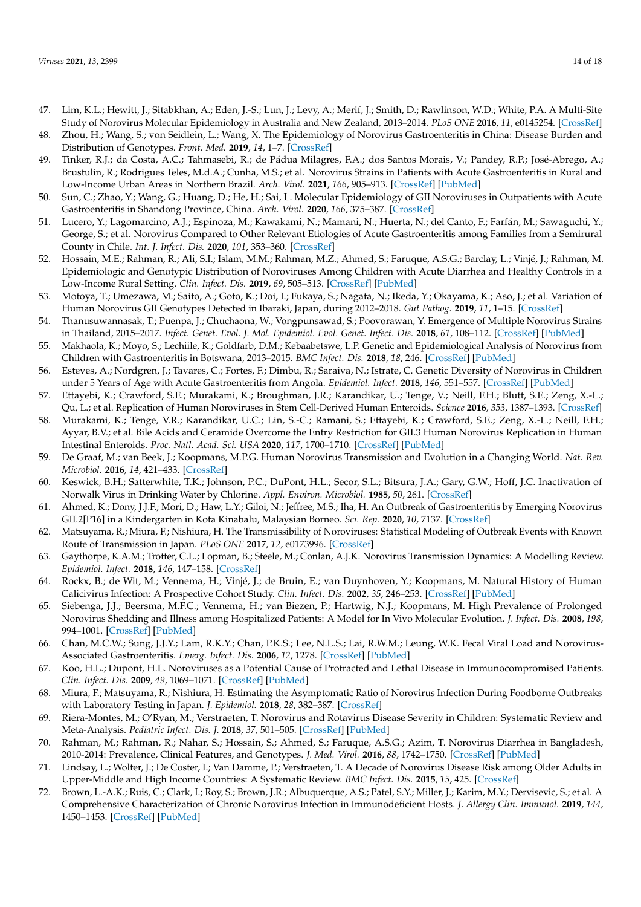- <span id="page-13-2"></span>47. Lim, K.L.; Hewitt, J.; Sitabkhan, A.; Eden, J.-S.; Lun, J.; Levy, A.; Merif, J.; Smith, D.; Rawlinson, W.D.; White, P.A. A Multi-Site Study of Norovirus Molecular Epidemiology in Australia and New Zealand, 2013–2014. *PLoS ONE* **2016**, *11*, e0145254. [\[CrossRef\]](http://doi.org/10.1371/journal.pone.0145254)
- <span id="page-13-0"></span>48. Zhou, H.; Wang, S.; von Seidlein, L.; Wang, X. The Epidemiology of Norovirus Gastroenteritis in China: Disease Burden and Distribution of Genotypes. *Front. Med.* **2019**, *14*, 1–7. [\[CrossRef\]](http://doi.org/10.1007/s11684-019-0733-5)
- <span id="page-13-3"></span>49. Tinker, R.J.; da Costa, A.C.; Tahmasebi, R.; de Pádua Milagres, F.A.; dos Santos Morais, V.; Pandey, R.P.; José-Abrego, A.; Brustulin, R.; Rodrigues Teles, M.d.A.; Cunha, M.S.; et al. Norovirus Strains in Patients with Acute Gastroenteritis in Rural and Low-Income Urban Areas in Northern Brazil. *Arch. Virol.* **2021**, *166*, 905–913. [\[CrossRef\]](http://doi.org/10.1007/s00705-020-04944-5) [\[PubMed\]](http://www.ncbi.nlm.nih.gov/pubmed/33462673)
- <span id="page-13-6"></span>50. Sun, C.; Zhao, Y.; Wang, G.; Huang, D.; He, H.; Sai, L. Molecular Epidemiology of GII Noroviruses in Outpatients with Acute Gastroenteritis in Shandong Province, China. *Arch. Virol.* **2020**, *166*, 375–387. [\[CrossRef\]](http://doi.org/10.1007/s00705-020-04883-1)
- <span id="page-13-7"></span>51. Lucero, Y.; Lagomarcino, A.J.; Espinoza, M.; Kawakami, N.; Mamani, N.; Huerta, N.; del Canto, F.; Farfán, M.; Sawaguchi, Y.; George, S.; et al. Norovirus Compared to Other Relevant Etiologies of Acute Gastroenteritis among Families from a Semirural County in Chile. *Int. J. Infect. Dis.* **2020**, *101*, 353–360. [\[CrossRef\]](http://doi.org/10.1016/j.ijid.2020.10.013)
- <span id="page-13-8"></span>52. Hossain, M.E.; Rahman, R.; Ali, S.I.; Islam, M.M.; Rahman, M.Z.; Ahmed, S.; Faruque, A.S.G.; Barclay, L.; Vinjé, J.; Rahman, M. Epidemiologic and Genotypic Distribution of Noroviruses Among Children with Acute Diarrhea and Healthy Controls in a Low-Income Rural Setting. *Clin. Infect. Dis.* **2019**, *69*, 505–513. [\[CrossRef\]](http://doi.org/10.1093/cid/ciy915) [\[PubMed\]](http://www.ncbi.nlm.nih.gov/pubmed/30351379)
- <span id="page-13-5"></span>53. Motoya, T.; Umezawa, M.; Saito, A.; Goto, K.; Doi, I.; Fukaya, S.; Nagata, N.; Ikeda, Y.; Okayama, K.; Aso, J.; et al. Variation of Human Norovirus GII Genotypes Detected in Ibaraki, Japan, during 2012–2018. *Gut Pathog.* **2019**, *11*, 1–15. [\[CrossRef\]](http://doi.org/10.1186/s13099-019-0303-z)
- <span id="page-13-4"></span>54. Thanusuwannasak, T.; Puenpa, J.; Chuchaona, W.; Vongpunsawad, S.; Poovorawan, Y. Emergence of Multiple Norovirus Strains in Thailand, 2015–2017. *Infect. Genet. Evol. J. Mol. Epidemiol. Evol. Genet. Infect. Dis.* **2018**, *61*, 108–112. [\[CrossRef\]](http://doi.org/10.1016/j.meegid.2018.03.021) [\[PubMed\]](http://www.ncbi.nlm.nih.gov/pubmed/29597056)
- <span id="page-13-9"></span>55. Makhaola, K.; Moyo, S.; Lechiile, K.; Goldfarb, D.M.; Kebaabetswe, L.P. Genetic and Epidemiological Analysis of Norovirus from Children with Gastroenteritis in Botswana, 2013–2015. *BMC Infect. Dis.* **2018**, *18*, 246. [\[CrossRef\]](http://doi.org/10.1186/s12879-018-3157-y) [\[PubMed\]](http://www.ncbi.nlm.nih.gov/pubmed/29848303)
- <span id="page-13-1"></span>56. Esteves, A.; Nordgren, J.; Tavares, C.; Fortes, F.; Dimbu, R.; Saraiva, N.; Istrate, C. Genetic Diversity of Norovirus in Children under 5 Years of Age with Acute Gastroenteritis from Angola. *Epidemiol. Infect.* **2018**, *146*, 551–557. [\[CrossRef\]](http://doi.org/10.1017/S0950268818000377) [\[PubMed\]](http://www.ncbi.nlm.nih.gov/pubmed/29534772)
- <span id="page-13-10"></span>57. Ettayebi, K.; Crawford, S.E.; Murakami, K.; Broughman, J.R.; Karandikar, U.; Tenge, V.; Neill, F.H.; Blutt, S.E.; Zeng, X.-L.; Qu, L.; et al. Replication of Human Noroviruses in Stem Cell-Derived Human Enteroids. *Science* **2016**, *353*, 1387–1393. [\[CrossRef\]](http://doi.org/10.1126/science.aaf5211)
- <span id="page-13-11"></span>58. Murakami, K.; Tenge, V.R.; Karandikar, U.C.; Lin, S.-C.; Ramani, S.; Ettayebi, K.; Crawford, S.E.; Zeng, X.-L.; Neill, F.H.; Ayyar, B.V.; et al. Bile Acids and Ceramide Overcome the Entry Restriction for GII.3 Human Norovirus Replication in Human Intestinal Enteroids. *Proc. Natl. Acad. Sci. USA* **2020**, *117*, 1700–1710. [\[CrossRef\]](http://doi.org/10.1073/pnas.1910138117) [\[PubMed\]](http://www.ncbi.nlm.nih.gov/pubmed/31896578)
- <span id="page-13-12"></span>59. De Graaf, M.; van Beek, J.; Koopmans, M.P.G. Human Norovirus Transmission and Evolution in a Changing World. *Nat. Rev. Microbiol.* **2016**, *14*, 421–433. [\[CrossRef\]](http://doi.org/10.1038/nrmicro.2016.48)
- <span id="page-13-13"></span>60. Keswick, B.H.; Satterwhite, T.K.; Johnson, P.C.; DuPont, H.L.; Secor, S.L.; Bitsura, J.A.; Gary, G.W.; Hoff, J.C. Inactivation of Norwalk Virus in Drinking Water by Chlorine. *Appl. Environ. Microbiol.* **1985**, *50*, 261. [\[CrossRef\]](http://doi.org/10.1128/aem.50.2.261-264.1985)
- <span id="page-13-14"></span>61. Ahmed, K.; Dony, J.J.F.; Mori, D.; Haw, L.Y.; Giloi, N.; Jeffree, M.S.; Iha, H. An Outbreak of Gastroenteritis by Emerging Norovirus GII.2[P16] in a Kindergarten in Kota Kinabalu, Malaysian Borneo. *Sci. Rep.* **2020**, *10*, 7137. [\[CrossRef\]](http://doi.org/10.1038/s41598-020-64148-4)
- <span id="page-13-15"></span>62. Matsuyama, R.; Miura, F.; Nishiura, H. The Transmissibility of Noroviruses: Statistical Modeling of Outbreak Events with Known Route of Transmission in Japan. *PLoS ONE* **2017**, *12*, e0173996. [\[CrossRef\]](http://doi.org/10.1371/JOURNAL.PONE.0173996)
- <span id="page-13-16"></span>63. Gaythorpe, K.A.M.; Trotter, C.L.; Lopman, B.; Steele, M.; Conlan, A.J.K. Norovirus Transmission Dynamics: A Modelling Review. *Epidemiol. Infect.* **2018**, *146*, 147–158. [\[CrossRef\]](http://doi.org/10.1017/S0950268817002692)
- <span id="page-13-17"></span>64. Rockx, B.; de Wit, M.; Vennema, H.; Vinjé, J.; de Bruin, E.; van Duynhoven, Y.; Koopmans, M. Natural History of Human Calicivirus Infection: A Prospective Cohort Study. *Clin. Infect. Dis.* **2002**, *35*, 246–253. [\[CrossRef\]](http://doi.org/10.1086/341408) [\[PubMed\]](http://www.ncbi.nlm.nih.gov/pubmed/12115089)
- <span id="page-13-19"></span>65. Siebenga, J.J.; Beersma, M.F.C.; Vennema, H.; van Biezen, P.; Hartwig, N.J.; Koopmans, M. High Prevalence of Prolonged Norovirus Shedding and Illness among Hospitalized Patients: A Model for In Vivo Molecular Evolution. *J. Infect. Dis.* **2008**, *198*, 994–1001. [\[CrossRef\]](http://doi.org/10.1086/591627) [\[PubMed\]](http://www.ncbi.nlm.nih.gov/pubmed/18774885)
- <span id="page-13-18"></span>66. Chan, M.C.W.; Sung, J.J.Y.; Lam, R.K.Y.; Chan, P.K.S.; Lee, N.L.S.; Lai, R.W.M.; Leung, W.K. Fecal Viral Load and Norovirus-Associated Gastroenteritis. *Emerg. Infect. Dis.* **2006**, *12*, 1278. [\[CrossRef\]](http://doi.org/10.3201/eid1208.060081) [\[PubMed\]](http://www.ncbi.nlm.nih.gov/pubmed/16965715)
- <span id="page-13-20"></span>67. Koo, H.L.; Dupont, H.L. Noroviruses as a Potential Cause of Protracted and Lethal Disease in Immunocompromised Patients. *Clin. Infect. Dis.* **2009**, *49*, 1069–1071. [\[CrossRef\]](http://doi.org/10.1086/605558) [\[PubMed\]](http://www.ncbi.nlm.nih.gov/pubmed/19705972)
- <span id="page-13-21"></span>68. Miura, F.; Matsuyama, R.; Nishiura, H. Estimating the Asymptomatic Ratio of Norovirus Infection During Foodborne Outbreaks with Laboratory Testing in Japan. *J. Epidemiol.* **2018**, *28*, 382–387. [\[CrossRef\]](http://doi.org/10.2188/jea.JE20170040)
- <span id="page-13-22"></span>69. Riera-Montes, M.; O'Ryan, M.; Verstraeten, T. Norovirus and Rotavirus Disease Severity in Children: Systematic Review and Meta-Analysis. *Pediatric Infect. Dis. J.* **2018**, *37*, 501–505. [\[CrossRef\]](http://doi.org/10.1097/INF.0000000000001824) [\[PubMed\]](http://www.ncbi.nlm.nih.gov/pubmed/29135827)
- <span id="page-13-23"></span>70. Rahman, M.; Rahman, R.; Nahar, S.; Hossain, S.; Ahmed, S.; Faruque, A.S.G.; Azim, T. Norovirus Diarrhea in Bangladesh, 2010-2014: Prevalence, Clinical Features, and Genotypes. *J. Med. Virol.* **2016**, *88*, 1742–1750. [\[CrossRef\]](http://doi.org/10.1002/jmv.24530) [\[PubMed\]](http://www.ncbi.nlm.nih.gov/pubmed/27003679)
- <span id="page-13-24"></span>71. Lindsay, L.; Wolter, J.; De Coster, I.; Van Damme, P.; Verstraeten, T. A Decade of Norovirus Disease Risk among Older Adults in Upper-Middle and High Income Countries: A Systematic Review. *BMC Infect. Dis.* **2015**, *15*, 425. [\[CrossRef\]](http://doi.org/10.1186/s12879-015-1168-5)
- <span id="page-13-25"></span>72. Brown, L.-A.K.; Ruis, C.; Clark, I.; Roy, S.; Brown, J.R.; Albuquerque, A.S.; Patel, S.Y.; Miller, J.; Karim, M.Y.; Dervisevic, S.; et al. A Comprehensive Characterization of Chronic Norovirus Infection in Immunodeficient Hosts. *J. Allergy Clin. Immunol.* **2019**, *144*, 1450–1453. [\[CrossRef\]](http://doi.org/10.1016/j.jaci.2019.07.036) [\[PubMed\]](http://www.ncbi.nlm.nih.gov/pubmed/31415785)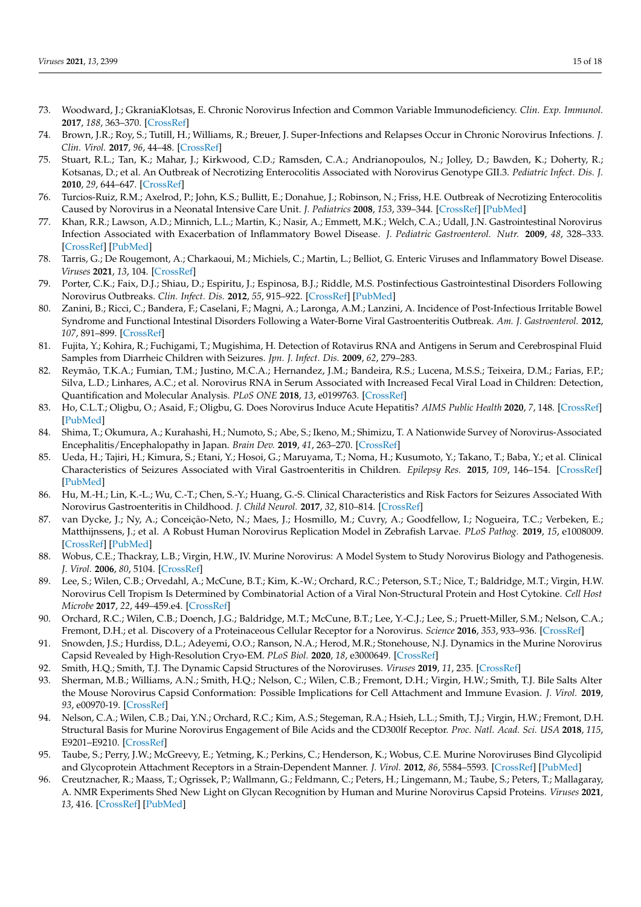- 73. Woodward, J.; GkraniaKlotsas, E. Chronic Norovirus Infection and Common Variable Immunodeficiency. *Clin. Exp. Immunol.* **2017**, *188*, 363–370. [\[CrossRef\]](http://doi.org/10.1111/cei.12884)
- <span id="page-14-0"></span>74. Brown, J.R.; Roy, S.; Tutill, H.; Williams, R.; Breuer, J. Super-Infections and Relapses Occur in Chronic Norovirus Infections. *J. Clin. Virol.* **2017**, *96*, 44–48. [\[CrossRef\]](http://doi.org/10.1016/j.jcv.2017.09.009)
- <span id="page-14-1"></span>75. Stuart, R.L.; Tan, K.; Mahar, J.; Kirkwood, C.D.; Ramsden, C.A.; Andrianopoulos, N.; Jolley, D.; Bawden, K.; Doherty, R.; Kotsanas, D.; et al. An Outbreak of Necrotizing Enterocolitis Associated with Norovirus Genotype GII.3. *Pediatric Infect. Dis. J.* **2010**, *29*, 644–647. [\[CrossRef\]](http://doi.org/10.1097/INF.0b013e3181d824e1)
- <span id="page-14-2"></span>76. Turcios-Ruiz, R.M.; Axelrod, P.; John, K.S.; Bullitt, E.; Donahue, J.; Robinson, N.; Friss, H.E. Outbreak of Necrotizing Enterocolitis Caused by Norovirus in a Neonatal Intensive Care Unit. *J. Pediatrics* **2008**, *153*, 339–344. [\[CrossRef\]](http://doi.org/10.1016/j.jpeds.2008.04.015) [\[PubMed\]](http://www.ncbi.nlm.nih.gov/pubmed/18534621)
- <span id="page-14-3"></span>77. Khan, R.R.; Lawson, A.D.; Minnich, L.L.; Martin, K.; Nasir, A.; Emmett, M.K.; Welch, C.A.; Udall, J.N. Gastrointestinal Norovirus Infection Associated with Exacerbation of Inflammatory Bowel Disease. *J. Pediatric Gastroenterol. Nutr.* **2009**, *48*, 328–333. [\[CrossRef\]](http://doi.org/10.1097/MPG.0b013e31818255cc) [\[PubMed\]](http://www.ncbi.nlm.nih.gov/pubmed/19274789)
- <span id="page-14-4"></span>78. Tarris, G.; De Rougemont, A.; Charkaoui, M.; Michiels, C.; Martin, L.; Belliot, G. Enteric Viruses and Inflammatory Bowel Disease. *Viruses* **2021**, *13*, 104. [\[CrossRef\]](http://doi.org/10.3390/v13010104)
- <span id="page-14-5"></span>79. Porter, C.K.; Faix, D.J.; Shiau, D.; Espiritu, J.; Espinosa, B.J.; Riddle, M.S. Postinfectious Gastrointestinal Disorders Following Norovirus Outbreaks. *Clin. Infect. Dis.* **2012**, *55*, 915–922. [\[CrossRef\]](http://doi.org/10.1093/cid/cis576) [\[PubMed\]](http://www.ncbi.nlm.nih.gov/pubmed/22715178)
- <span id="page-14-6"></span>80. Zanini, B.; Ricci, C.; Bandera, F.; Caselani, F.; Magni, A.; Laronga, A.M.; Lanzini, A. Incidence of Post-Infectious Irritable Bowel Syndrome and Functional Intestinal Disorders Following a Water-Borne Viral Gastroenteritis Outbreak. *Am. J. Gastroenterol.* **2012**, *107*, 891–899. [\[CrossRef\]](http://doi.org/10.1038/ajg.2012.102)
- <span id="page-14-7"></span>81. Fujita, Y.; Kohira, R.; Fuchigami, T.; Mugishima, H. Detection of Rotavirus RNA and Antigens in Serum and Cerebrospinal Fluid Samples from Diarrheic Children with Seizures. *Jpn. J. Infect. Dis.* **2009**, *62*, 279–283.
- <span id="page-14-8"></span>82. Reymão, T.K.A.; Fumian, T.M.; Justino, M.C.A.; Hernandez, J.M.; Bandeira, R.S.; Lucena, M.S.S.; Teixeira, D.M.; Farias, F.P.; Silva, L.D.; Linhares, A.C.; et al. Norovirus RNA in Serum Associated with Increased Fecal Viral Load in Children: Detection, Quantification and Molecular Analysis. *PLoS ONE* **2018**, *13*, e0199763. [\[CrossRef\]](http://doi.org/10.1371/journal.pone.0199763)
- <span id="page-14-9"></span>83. Ho, C.L.T.; Oligbu, O.; Asaid, F.; Oligbu, G. Does Norovirus Induce Acute Hepatitis? *AIMS Public Health* **2020**, *7*, 148. [\[CrossRef\]](http://doi.org/10.3934/PUBLICHEALTH.2020013) [\[PubMed\]](http://www.ncbi.nlm.nih.gov/pubmed/32258196)
- 84. Shima, T.; Okumura, A.; Kurahashi, H.; Numoto, S.; Abe, S.; Ikeno, M.; Shimizu, T. A Nationwide Survey of Norovirus-Associated Encephalitis/Encephalopathy in Japan. *Brain Dev.* **2019**, *41*, 263–270. [\[CrossRef\]](http://doi.org/10.1016/j.braindev.2018.11.001)
- 85. Ueda, H.; Tajiri, H.; Kimura, S.; Etani, Y.; Hosoi, G.; Maruyama, T.; Noma, H.; Kusumoto, Y.; Takano, T.; Baba, Y.; et al. Clinical Characteristics of Seizures Associated with Viral Gastroenteritis in Children. *Epilepsy Res.* **2015**, *109*, 146–154. [\[CrossRef\]](http://doi.org/10.1016/j.eplepsyres.2014.10.021) [\[PubMed\]](http://www.ncbi.nlm.nih.gov/pubmed/25524854)
- <span id="page-14-10"></span>86. Hu, M.-H.; Lin, K.-L.; Wu, C.-T.; Chen, S.-Y.; Huang, G.-S. Clinical Characteristics and Risk Factors for Seizures Associated With Norovirus Gastroenteritis in Childhood. *J. Child Neurol.* **2017**, *32*, 810–814. [\[CrossRef\]](http://doi.org/10.1177/0883073817707302)
- <span id="page-14-11"></span>87. van Dycke, J.; Ny, A.; Conceição-Neto, N.; Maes, J.; Hosmillo, M.; Cuvry, A.; Goodfellow, I.; Nogueira, T.C.; Verbeken, E.; Matthijnssens, J.; et al. A Robust Human Norovirus Replication Model in Zebrafish Larvae. *PLoS Pathog.* **2019**, *15*, e1008009. [\[CrossRef\]](http://doi.org/10.1371/journal.ppat.1008009) [\[PubMed\]](http://www.ncbi.nlm.nih.gov/pubmed/31536612)
- <span id="page-14-12"></span>88. Wobus, C.E.; Thackray, L.B.; Virgin, H.W., IV. Murine Norovirus: A Model System to Study Norovirus Biology and Pathogenesis. *J. Virol.* **2006**, *80*, 5104. [\[CrossRef\]](http://doi.org/10.1128/JVI.02346-05)
- <span id="page-14-13"></span>89. Lee, S.; Wilen, C.B.; Orvedahl, A.; McCune, B.T.; Kim, K.-W.; Orchard, R.C.; Peterson, S.T.; Nice, T.; Baldridge, M.T.; Virgin, H.W. Norovirus Cell Tropism Is Determined by Combinatorial Action of a Viral Non-Structural Protein and Host Cytokine. *Cell Host Microbe* **2017**, *22*, 449–459.e4. [\[CrossRef\]](http://doi.org/10.1016/j.chom.2017.08.021)
- <span id="page-14-14"></span>90. Orchard, R.C.; Wilen, C.B.; Doench, J.G.; Baldridge, M.T.; McCune, B.T.; Lee, Y.-C.J.; Lee, S.; Pruett-Miller, S.M.; Nelson, C.A.; Fremont, D.H.; et al. Discovery of a Proteinaceous Cellular Receptor for a Norovirus. *Science* **2016**, *353*, 933–936. [\[CrossRef\]](http://doi.org/10.1126/science.aaf1220)
- <span id="page-14-15"></span>91. Snowden, J.S.; Hurdiss, D.L.; Adeyemi, O.O.; Ranson, N.A.; Herod, M.R.; Stonehouse, N.J. Dynamics in the Murine Norovirus Capsid Revealed by High-Resolution Cryo-EM. *PLoS Biol.* **2020**, *18*, e3000649. [\[CrossRef\]](http://doi.org/10.1371/journal.pbio.3000649)
- <span id="page-14-16"></span>92. Smith, H.Q.; Smith, T.J. The Dynamic Capsid Structures of the Noroviruses. *Viruses* **2019**, *11*, 235. [\[CrossRef\]](http://doi.org/10.3390/v11030235)
- <span id="page-14-17"></span>93. Sherman, M.B.; Williams, A.N.; Smith, H.Q.; Nelson, C.; Wilen, C.B.; Fremont, D.H.; Virgin, H.W.; Smith, T.J. Bile Salts Alter the Mouse Norovirus Capsid Conformation: Possible Implications for Cell Attachment and Immune Evasion. *J. Virol.* **2019**, *93*, e00970-19. [\[CrossRef\]](http://doi.org/10.1128/JVI.00970-19)
- <span id="page-14-18"></span>94. Nelson, C.A.; Wilen, C.B.; Dai, Y.N.; Orchard, R.C.; Kim, A.S.; Stegeman, R.A.; Hsieh, L.L.; Smith, T.J.; Virgin, H.W.; Fremont, D.H. Structural Basis for Murine Norovirus Engagement of Bile Acids and the CD300lf Receptor. *Proc. Natl. Acad. Sci. USA* **2018**, *115*, E9201–E9210. [\[CrossRef\]](http://doi.org/10.1073/pnas.1805797115)
- <span id="page-14-19"></span>95. Taube, S.; Perry, J.W.; McGreevy, E.; Yetming, K.; Perkins, C.; Henderson, K.; Wobus, C.E. Murine Noroviruses Bind Glycolipid and Glycoprotein Attachment Receptors in a Strain-Dependent Manner. *J. Virol.* **2012**, *86*, 5584–5593. [\[CrossRef\]](http://doi.org/10.1128/JVI.06854-11) [\[PubMed\]](http://www.ncbi.nlm.nih.gov/pubmed/22438544)
- <span id="page-14-20"></span>96. Creutznacher, R.; Maass, T.; Ogrissek, P.; Wallmann, G.; Feldmann, C.; Peters, H.; Lingemann, M.; Taube, S.; Peters, T.; Mallagaray, A. NMR Experiments Shed New Light on Glycan Recognition by Human and Murine Norovirus Capsid Proteins. *Viruses* **2021**, *13*, 416. [\[CrossRef\]](http://doi.org/10.3390/v13030416) [\[PubMed\]](http://www.ncbi.nlm.nih.gov/pubmed/33807801)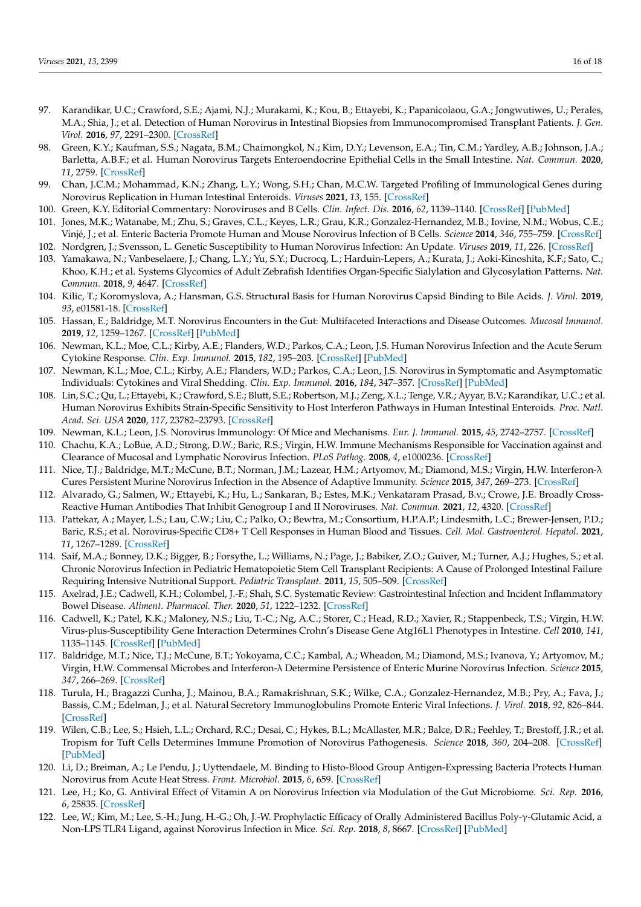- <span id="page-15-0"></span>97. Karandikar, U.C.; Crawford, S.E.; Ajami, N.J.; Murakami, K.; Kou, B.; Ettayebi, K.; Papanicolaou, G.A.; Jongwutiwes, U.; Perales, M.A.; Shia, J.; et al. Detection of Human Norovirus in Intestinal Biopsies from Immunocompromised Transplant Patients. *J. Gen. Virol.* **2016**, *97*, 2291–2300. [\[CrossRef\]](http://doi.org/10.1099/jgv.0.000545)
- <span id="page-15-1"></span>98. Green, K.Y.; Kaufman, S.S.; Nagata, B.M.; Chaimongkol, N.; Kim, D.Y.; Levenson, E.A.; Tin, C.M.; Yardley, A.B.; Johnson, J.A.; Barletta, A.B.F.; et al. Human Norovirus Targets Enteroendocrine Epithelial Cells in the Small Intestine. *Nat. Commun.* **2020**, *11*, 2759. [\[CrossRef\]](http://doi.org/10.1038/s41467-020-16491-3)
- <span id="page-15-2"></span>99. Chan, J.C.M.; Mohammad, K.N.; Zhang, L.Y.; Wong, S.H.; Chan, M.C.W. Targeted Profiling of Immunological Genes during Norovirus Replication in Human Intestinal Enteroids. *Viruses* **2021**, *13*, 155. [\[CrossRef\]](http://doi.org/10.3390/v13020155)
- <span id="page-15-3"></span>100. Green, K.Y. Editorial Commentary: Noroviruses and B Cells. *Clin. Infect. Dis.* **2016**, *62*, 1139–1140. [\[CrossRef\]](http://doi.org/10.1093/cid/ciw063) [\[PubMed\]](http://www.ncbi.nlm.nih.gov/pubmed/26908783)
- <span id="page-15-4"></span>101. Jones, M.K.; Watanabe, M.; Zhu, S.; Graves, C.L.; Keyes, L.R.; Grau, K.R.; Gonzalez-Hernandez, M.B.; Iovine, N.M.; Wobus, C.E.; Vinjé, J.; et al. Enteric Bacteria Promote Human and Mouse Norovirus Infection of B Cells. *Science* **2014**, *346*, 755–759. [\[CrossRef\]](http://doi.org/10.1126/science.1257147)
- <span id="page-15-5"></span>102. Nordgren, J.; Svensson, L. Genetic Susceptibility to Human Norovirus Infection: An Update. *Viruses* **2019**, *11*, 226. [\[CrossRef\]](http://doi.org/10.3390/v11030226)
- <span id="page-15-6"></span>103. Yamakawa, N.; Vanbeselaere, J.; Chang, L.Y.; Yu, S.Y.; Ducrocq, L.; Harduin-Lepers, A.; Kurata, J.; Aoki-Kinoshita, K.F.; Sato, C.; Khoo, K.H.; et al. Systems Glycomics of Adult Zebrafish Identifies Organ-Specific Sialylation and Glycosylation Patterns. *Nat. Commun.* **2018**, *9*, 4647. [\[CrossRef\]](http://doi.org/10.1038/s41467-018-06950-3)
- <span id="page-15-7"></span>104. Kilic, T.; Koromyslova, A.; Hansman, G.S. Structural Basis for Human Norovirus Capsid Binding to Bile Acids. *J. Virol.* **2019**, *93*, e01581-18. [\[CrossRef\]](http://doi.org/10.1128/JVI.01581-18)
- <span id="page-15-8"></span>105. Hassan, E.; Baldridge, M.T. Norovirus Encounters in the Gut: Multifaceted Interactions and Disease Outcomes. *Mucosal Immunol.* **2019**, *12*, 1259–1267. [\[CrossRef\]](http://doi.org/10.1038/s41385-019-0199-4) [\[PubMed\]](http://www.ncbi.nlm.nih.gov/pubmed/31501514)
- <span id="page-15-9"></span>106. Newman, K.L.; Moe, C.L.; Kirby, A.E.; Flanders, W.D.; Parkos, C.A.; Leon, J.S. Human Norovirus Infection and the Acute Serum Cytokine Response. *Clin. Exp. Immunol.* **2015**, *182*, 195–203. [\[CrossRef\]](http://doi.org/10.1111/cei.12681) [\[PubMed\]](http://www.ncbi.nlm.nih.gov/pubmed/26178578)
- <span id="page-15-10"></span>107. Newman, K.L.; Moe, C.L.; Kirby, A.E.; Flanders, W.D.; Parkos, C.A.; Leon, J.S. Norovirus in Symptomatic and Asymptomatic Individuals: Cytokines and Viral Shedding. *Clin. Exp. Immunol.* **2016**, *184*, 347–357. [\[CrossRef\]](http://doi.org/10.1111/cei.12772) [\[PubMed\]](http://www.ncbi.nlm.nih.gov/pubmed/26822517)
- <span id="page-15-11"></span>108. Lin, S.C.; Qu, L.; Ettayebi, K.; Crawford, S.E.; Blutt, S.E.; Robertson, M.J.; Zeng, X.L.; Tenge, V.R.; Ayyar, B.V.; Karandikar, U.C.; et al. Human Norovirus Exhibits Strain-Specific Sensitivity to Host Interferon Pathways in Human Intestinal Enteroids. *Proc. Natl. Acad. Sci. USA* **2020**, *117*, 23782–23793. [\[CrossRef\]](http://doi.org/10.1073/pnas.2010834117)
- <span id="page-15-12"></span>109. Newman, K.L.; Leon, J.S. Norovirus Immunology: Of Mice and Mechanisms. *Eur. J. Immunol.* **2015**, *45*, 2742–2757. [\[CrossRef\]](http://doi.org/10.1002/eji.201545512)
- <span id="page-15-13"></span>110. Chachu, K.A.; LoBue, A.D.; Strong, D.W.; Baric, R.S.; Virgin, H.W. Immune Mechanisms Responsible for Vaccination against and Clearance of Mucosal and Lymphatic Norovirus Infection. *PLoS Pathog.* **2008**, *4*, e1000236. [\[CrossRef\]](http://doi.org/10.1371/journal.ppat.1000236)
- <span id="page-15-14"></span>111. Nice, T.J.; Baldridge, M.T.; McCune, B.T.; Norman, J.M.; Lazear, H.M.; Artyomov, M.; Diamond, M.S.; Virgin, H.W. Interferon-λ Cures Persistent Murine Norovirus Infection in the Absence of Adaptive Immunity. *Science* **2015**, *347*, 269–273. [\[CrossRef\]](http://doi.org/10.1126/science.1258100)
- <span id="page-15-15"></span>112. Alvarado, G.; Salmen, W.; Ettayebi, K.; Hu, L.; Sankaran, B.; Estes, M.K.; Venkataram Prasad, B.v.; Crowe, J.E. Broadly Cross-Reactive Human Antibodies That Inhibit Genogroup I and II Noroviruses. *Nat. Commun.* **2021**, *12*, 4320. [\[CrossRef\]](http://doi.org/10.1038/s41467-021-24649-w)
- <span id="page-15-16"></span>113. Pattekar, A.; Mayer, L.S.; Lau, C.W.; Liu, C.; Palko, O.; Bewtra, M.; Consortium, H.P.A.P.; Lindesmith, L.C.; Brewer-Jensen, P.D.; Baric, R.S.; et al. Norovirus-Specific CD8+ T Cell Responses in Human Blood and Tissues. *Cell. Mol. Gastroenterol. Hepatol.* **2021**, *11*, 1267–1289. [\[CrossRef\]](http://doi.org/10.1016/j.jcmgh.2020.12.012)
- <span id="page-15-17"></span>114. Saif, M.A.; Bonney, D.K.; Bigger, B.; Forsythe, L.; Williams, N.; Page, J.; Babiker, Z.O.; Guiver, M.; Turner, A.J.; Hughes, S.; et al. Chronic Norovirus Infection in Pediatric Hematopoietic Stem Cell Transplant Recipients: A Cause of Prolonged Intestinal Failure Requiring Intensive Nutritional Support. *Pediatric Transplant.* **2011**, *15*, 505–509. [\[CrossRef\]](http://doi.org/10.1111/j.1399-3046.2011.01500.x)
- <span id="page-15-18"></span>115. Axelrad, J.E.; Cadwell, K.H.; Colombel, J.-F.; Shah, S.C. Systematic Review: Gastrointestinal Infection and Incident Inflammatory Bowel Disease. *Aliment. Pharmacol. Ther.* **2020**, *51*, 1222–1232. [\[CrossRef\]](http://doi.org/10.1111/apt.15770)
- <span id="page-15-19"></span>116. Cadwell, K.; Patel, K.K.; Maloney, N.S.; Liu, T.-C.; Ng, A.C.; Storer, C.; Head, R.D.; Xavier, R.; Stappenbeck, T.S.; Virgin, H.W. Virus-plus-Susceptibility Gene Interaction Determines Crohn's Disease Gene Atg16L1 Phenotypes in Intestine. *Cell* **2010**, *141*, 1135–1145. [\[CrossRef\]](http://doi.org/10.1016/j.cell.2010.05.009) [\[PubMed\]](http://www.ncbi.nlm.nih.gov/pubmed/20602997)
- <span id="page-15-20"></span>117. Baldridge, M.T.; Nice, T.J.; McCune, B.T.; Yokoyama, C.C.; Kambal, A.; Wheadon, M.; Diamond, M.S.; Ivanova, Y.; Artyomov, M.; Virgin, H.W. Commensal Microbes and Interferon-λ Determine Persistence of Enteric Murine Norovirus Infection. *Science* **2015**, *347*, 266–269. [\[CrossRef\]](http://doi.org/10.1126/science.1258025)
- <span id="page-15-21"></span>118. Turula, H.; Bragazzi Cunha, J.; Mainou, B.A.; Ramakrishnan, S.K.; Wilke, C.A.; Gonzalez-Hernandez, M.B.; Pry, A.; Fava, J.; Bassis, C.M.; Edelman, J.; et al. Natural Secretory Immunoglobulins Promote Enteric Viral Infections. *J. Virol.* **2018**, *92*, 826–844. [\[CrossRef\]](http://doi.org/10.1128/JVI.00826-18)
- <span id="page-15-22"></span>119. Wilen, C.B.; Lee, S.; Hsieh, L.L.; Orchard, R.C.; Desai, C.; Hykes, B.L.; McAllaster, M.R.; Balce, D.R.; Feehley, T.; Brestoff, J.R.; et al. Tropism for Tuft Cells Determines Immune Promotion of Norovirus Pathogenesis. *Science* **2018**, *360*, 204–208. [\[CrossRef\]](http://doi.org/10.1126/science.aar3799) [\[PubMed\]](http://www.ncbi.nlm.nih.gov/pubmed/29650672)
- <span id="page-15-23"></span>120. Li, D.; Breiman, A.; Le Pendu, J.; Uyttendaele, M. Binding to Histo-Blood Group Antigen-Expressing Bacteria Protects Human Norovirus from Acute Heat Stress. *Front. Microbiol.* **2015**, *6*, 659. [\[CrossRef\]](http://doi.org/10.3389/fmicb.2015.00659)
- <span id="page-15-24"></span>121. Lee, H.; Ko, G. Antiviral Effect of Vitamin A on Norovirus Infection via Modulation of the Gut Microbiome. *Sci. Rep.* **2016**, *6*, 25835. [\[CrossRef\]](http://doi.org/10.1038/srep25835)
- <span id="page-15-25"></span>122. Lee, W.; Kim, M.; Lee, S.-H.; Jung, H.-G.; Oh, J.-W. Prophylactic Efficacy of Orally Administered Bacillus Poly-γ-Glutamic Acid, a Non-LPS TLR4 Ligand, against Norovirus Infection in Mice. *Sci. Rep.* **2018**, *8*, 8667. [\[CrossRef\]](http://doi.org/10.1038/s41598-018-26935-y) [\[PubMed\]](http://www.ncbi.nlm.nih.gov/pubmed/29875467)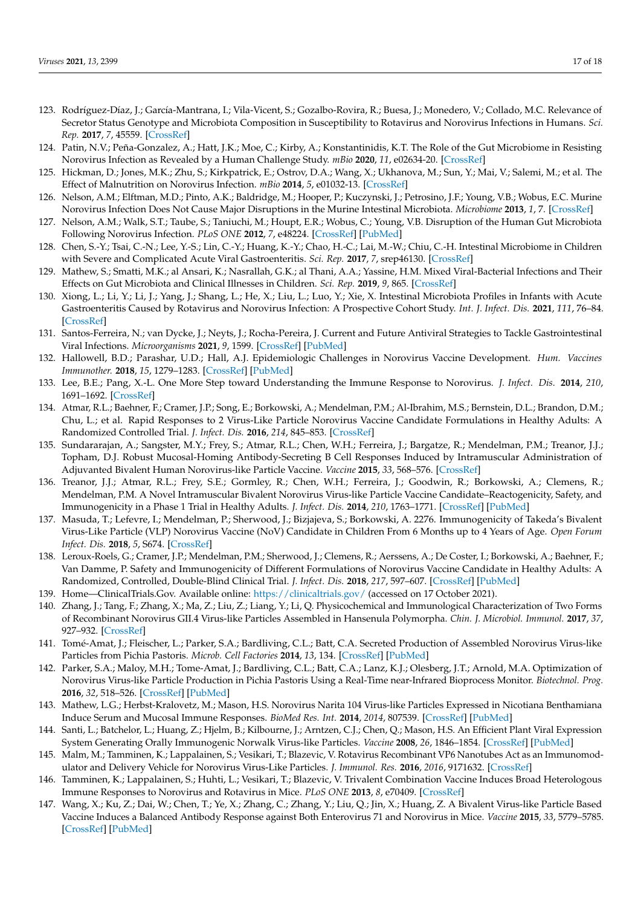- <span id="page-16-0"></span>123. Rodríguez-Díaz, J.; García-Mantrana, I.; Vila-Vicent, S.; Gozalbo-Rovira, R.; Buesa, J.; Monedero, V.; Collado, M.C. Relevance of Secretor Status Genotype and Microbiota Composition in Susceptibility to Rotavirus and Norovirus Infections in Humans. *Sci. Rep.* **2017**, *7*, 45559. [\[CrossRef\]](http://doi.org/10.1038/srep45559)
- <span id="page-16-1"></span>124. Patin, N.V.; Peña-Gonzalez, A.; Hatt, J.K.; Moe, C.; Kirby, A.; Konstantinidis, K.T. The Role of the Gut Microbiome in Resisting Norovirus Infection as Revealed by a Human Challenge Study. *mBio* **2020**, *11*, e02634-20. [\[CrossRef\]](http://doi.org/10.1128/mBio.02634-20)
- <span id="page-16-2"></span>125. Hickman, D.; Jones, M.K.; Zhu, S.; Kirkpatrick, E.; Ostrov, D.A.; Wang, X.; Ukhanova, M.; Sun, Y.; Mai, V.; Salemi, M.; et al. The Effect of Malnutrition on Norovirus Infection. *mBio* **2014**, *5*, e01032-13. [\[CrossRef\]](http://doi.org/10.1128/mBio.01032-13)
- <span id="page-16-3"></span>126. Nelson, A.M.; Elftman, M.D.; Pinto, A.K.; Baldridge, M.; Hooper, P.; Kuczynski, J.; Petrosino, J.F.; Young, V.B.; Wobus, E.C. Murine Norovirus Infection Does Not Cause Major Disruptions in the Murine Intestinal Microbiota. *Microbiome* **2013**, *1*, 7. [\[CrossRef\]](http://doi.org/10.1186/2049-2618-1-7)
- <span id="page-16-4"></span>127. Nelson, A.M.; Walk, S.T.; Taube, S.; Taniuchi, M.; Houpt, E.R.; Wobus, C.; Young, V.B. Disruption of the Human Gut Microbiota Following Norovirus Infection. *PLoS ONE* **2012**, *7*, e48224. [\[CrossRef\]](http://doi.org/10.1371/journal.pone.0048224) [\[PubMed\]](http://www.ncbi.nlm.nih.gov/pubmed/23118957)
- <span id="page-16-5"></span>128. Chen, S.-Y.; Tsai, C.-N.; Lee, Y.-S.; Lin, C.-Y.; Huang, K.-Y.; Chao, H.-C.; Lai, M.-W.; Chiu, C.-H. Intestinal Microbiome in Children with Severe and Complicated Acute Viral Gastroenteritis. *Sci. Rep.* **2017**, *7*, srep46130. [\[CrossRef\]](http://doi.org/10.1038/srep46130)
- 129. Mathew, S.; Smatti, M.K.; al Ansari, K.; Nasrallah, G.K.; al Thani, A.A.; Yassine, H.M. Mixed Viral-Bacterial Infections and Their Effects on Gut Microbiota and Clinical Illnesses in Children. *Sci. Rep.* **2019**, *9*, 865. [\[CrossRef\]](http://doi.org/10.1038/s41598-018-37162-w)
- <span id="page-16-6"></span>130. Xiong, L.; Li, Y.; Li, J.; Yang, J.; Shang, L.; He, X.; Liu, L.; Luo, Y.; Xie, X. Intestinal Microbiota Profiles in Infants with Acute Gastroenteritis Caused by Rotavirus and Norovirus Infection: A Prospective Cohort Study. *Int. J. Infect. Dis.* **2021**, *111*, 76–84. [\[CrossRef\]](http://doi.org/10.1016/j.ijid.2021.08.024)
- <span id="page-16-7"></span>131. Santos-Ferreira, N.; van Dycke, J.; Neyts, J.; Rocha-Pereira, J. Current and Future Antiviral Strategies to Tackle Gastrointestinal Viral Infections. *Microorganisms* **2021**, *9*, 1599. [\[CrossRef\]](http://doi.org/10.3390/microorganisms9081599) [\[PubMed\]](http://www.ncbi.nlm.nih.gov/pubmed/34442677)
- <span id="page-16-8"></span>132. Hallowell, B.D.; Parashar, U.D.; Hall, A.J. Epidemiologic Challenges in Norovirus Vaccine Development. *Hum. Vaccines Immunother.* **2018**, *15*, 1279–1283. [\[CrossRef\]](http://doi.org/10.1080/21645515.2018.1553594) [\[PubMed\]](http://www.ncbi.nlm.nih.gov/pubmed/30481104)
- <span id="page-16-9"></span>133. Lee, B.E.; Pang, X.-L. One More Step toward Understanding the Immune Response to Norovirus. *J. Infect. Dis.* **2014**, *210*, 1691–1692. [\[CrossRef\]](http://doi.org/10.1093/infdis/jiu362)
- <span id="page-16-10"></span>134. Atmar, R.L.; Baehner, F.; Cramer, J.P.; Song, E.; Borkowski, A.; Mendelman, P.M.; Al-Ibrahim, M.S.; Bernstein, D.L.; Brandon, D.M.; Chu, L.; et al. Rapid Responses to 2 Virus-Like Particle Norovirus Vaccine Candidate Formulations in Healthy Adults: A Randomized Controlled Trial. *J. Infect. Dis.* **2016**, *214*, 845–853. [\[CrossRef\]](http://doi.org/10.1093/infdis/jiw259)
- 135. Sundararajan, A.; Sangster, M.Y.; Frey, S.; Atmar, R.L.; Chen, W.H.; Ferreira, J.; Bargatze, R.; Mendelman, P.M.; Treanor, J.J.; Topham, D.J. Robust Mucosal-Homing Antibody-Secreting B Cell Responses Induced by Intramuscular Administration of Adjuvanted Bivalent Human Norovirus-like Particle Vaccine. *Vaccine* **2015**, *33*, 568–576. [\[CrossRef\]](http://doi.org/10.1016/j.vaccine.2014.09.073)
- 136. Treanor, J.J.; Atmar, R.L.; Frey, S.E.; Gormley, R.; Chen, W.H.; Ferreira, J.; Goodwin, R.; Borkowski, A.; Clemens, R.; Mendelman, P.M. A Novel Intramuscular Bivalent Norovirus Virus-like Particle Vaccine Candidate–Reactogenicity, Safety, and Immunogenicity in a Phase 1 Trial in Healthy Adults. *J. Infect. Dis.* **2014**, *210*, 1763–1771. [\[CrossRef\]](http://doi.org/10.1093/infdis/jiu337) [\[PubMed\]](http://www.ncbi.nlm.nih.gov/pubmed/24951828)
- 137. Masuda, T.; Lefevre, I.; Mendelman, P.; Sherwood, J.; Bizjajeva, S.; Borkowski, A. 2276. Immunogenicity of Takeda's Bivalent Virus-Like Particle (VLP) Norovirus Vaccine (NoV) Candidate in Children From 6 Months up to 4 Years of Age. *Open Forum Infect. Dis.* **2018**, *5*, S674. [\[CrossRef\]](http://doi.org/10.1093/ofid/ofy210.1929)
- 138. Leroux-Roels, G.; Cramer, J.P.; Mendelman, P.M.; Sherwood, J.; Clemens, R.; Aerssens, A.; De Coster, I.; Borkowski, A.; Baehner, F.; Van Damme, P. Safety and Immunogenicity of Different Formulations of Norovirus Vaccine Candidate in Healthy Adults: A Randomized, Controlled, Double-Blind Clinical Trial. *J. Infect. Dis.* **2018**, *217*, 597–607. [\[CrossRef\]](http://doi.org/10.1093/infdis/jix572) [\[PubMed\]](http://www.ncbi.nlm.nih.gov/pubmed/29140444)
- <span id="page-16-11"></span>139. Home—ClinicalTrials.Gov. Available online: <https://clinicaltrials.gov/> (accessed on 17 October 2021).
- <span id="page-16-12"></span>140. Zhang, J.; Tang, F.; Zhang, X.; Ma, Z.; Liu, Z.; Liang, Y.; Li, Q. Physicochemical and Immunological Characterization of Two Forms of Recombinant Norovirus GII.4 Virus-like Particles Assembled in Hansenula Polymorpha. *Chin. J. Microbiol. Immunol.* **2017**, *37*, 927–932. [\[CrossRef\]](http://doi.org/10.3760/CMA.J.ISSN.0254-5101.2017.12.008)
- <span id="page-16-13"></span>141. Tomé-Amat, J.; Fleischer, L.; Parker, S.A.; Bardliving, C.L.; Batt, C.A. Secreted Production of Assembled Norovirus Virus-like Particles from Pichia Pastoris. *Microb. Cell Factories* **2014**, *13*, 134. [\[CrossRef\]](http://doi.org/10.1186/s12934-014-0134-z) [\[PubMed\]](http://www.ncbi.nlm.nih.gov/pubmed/25201129)
- <span id="page-16-14"></span>142. Parker, S.A.; Maloy, M.H.; Tome-Amat, J.; Bardliving, C.L.; Batt, C.A.; Lanz, K.J.; Olesberg, J.T.; Arnold, M.A. Optimization of Norovirus Virus-like Particle Production in Pichia Pastoris Using a Real-Time near-Infrared Bioprocess Monitor. *Biotechnol. Prog.* **2016**, *32*, 518–526. [\[CrossRef\]](http://doi.org/10.1002/btpr.2224) [\[PubMed\]](http://www.ncbi.nlm.nih.gov/pubmed/26748930)
- <span id="page-16-15"></span>143. Mathew, L.G.; Herbst-Kralovetz, M.; Mason, H.S. Norovirus Narita 104 Virus-like Particles Expressed in Nicotiana Benthamiana Induce Serum and Mucosal Immune Responses. *BioMed Res. Int.* **2014**, *2014*, 807539. [\[CrossRef\]](http://doi.org/10.1155/2014/807539) [\[PubMed\]](http://www.ncbi.nlm.nih.gov/pubmed/24949472)
- <span id="page-16-16"></span>144. Santi, L.; Batchelor, L.; Huang, Z.; Hjelm, B.; Kilbourne, J.; Arntzen, C.J.; Chen, Q.; Mason, H.S. An Efficient Plant Viral Expression System Generating Orally Immunogenic Norwalk Virus-like Particles. *Vaccine* **2008**, *26*, 1846–1854. [\[CrossRef\]](http://doi.org/10.1016/j.vaccine.2008.01.053) [\[PubMed\]](http://www.ncbi.nlm.nih.gov/pubmed/18325641)
- <span id="page-16-17"></span>145. Malm, M.; Tamminen, K.; Lappalainen, S.; Vesikari, T.; Blazevic, V. Rotavirus Recombinant VP6 Nanotubes Act as an Immunomodulator and Delivery Vehicle for Norovirus Virus-Like Particles. *J. Immunol. Res.* **2016**, *2016*, 9171632. [\[CrossRef\]](http://doi.org/10.1155/2016/9171632)
- <span id="page-16-18"></span>146. Tamminen, K.; Lappalainen, S.; Huhti, L.; Vesikari, T.; Blazevic, V. Trivalent Combination Vaccine Induces Broad Heterologous Immune Responses to Norovirus and Rotavirus in Mice. *PLoS ONE* **2013**, *8*, e70409. [\[CrossRef\]](http://doi.org/10.1371/JOURNAL.PONE.0070409)
- <span id="page-16-19"></span>147. Wang, X.; Ku, Z.; Dai, W.; Chen, T.; Ye, X.; Zhang, C.; Zhang, Y.; Liu, Q.; Jin, X.; Huang, Z. A Bivalent Virus-like Particle Based Vaccine Induces a Balanced Antibody Response against Both Enterovirus 71 and Norovirus in Mice. *Vaccine* **2015**, *33*, 5779–5785. [\[CrossRef\]](http://doi.org/10.1016/j.vaccine.2015.09.043) [\[PubMed\]](http://www.ncbi.nlm.nih.gov/pubmed/26424606)